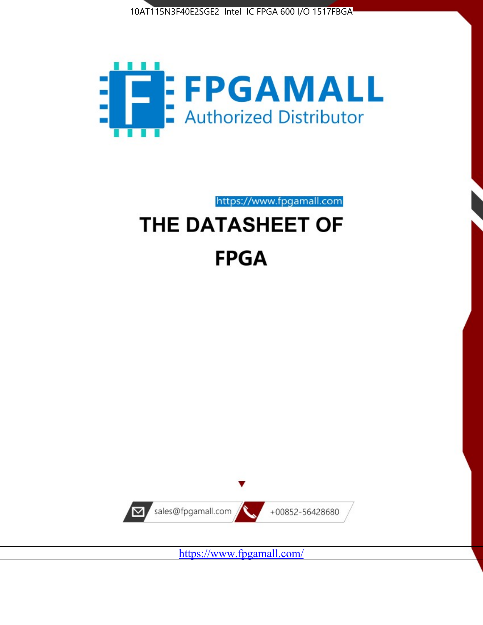



https://www.fpgamall.com

# THE DATASHEET OF **FPGA**



<https://www.fpgamall.com/>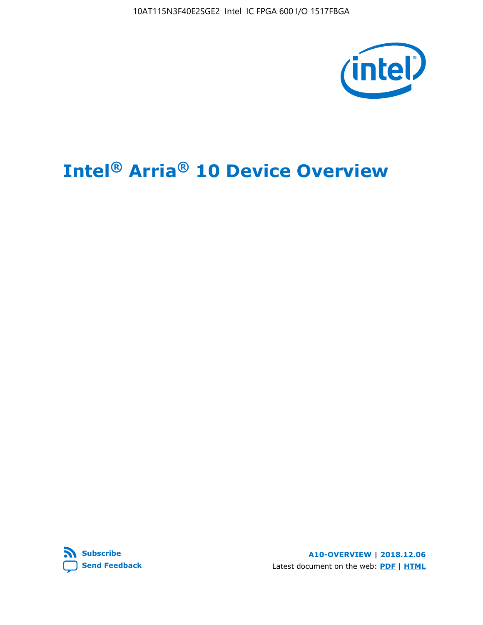10AT115N3F40E2SGE2 Intel IC FPGA 600 I/O 1517FBGA



# **Intel® Arria® 10 Device Overview**



**A10-OVERVIEW | 2018.12.06** Latest document on the web: **[PDF](https://www.intel.com/content/dam/www/programmable/us/en/pdfs/literature/hb/arria-10/a10_overview.pdf)** | **[HTML](https://www.intel.com/content/www/us/en/programmable/documentation/sam1403480274650.html)**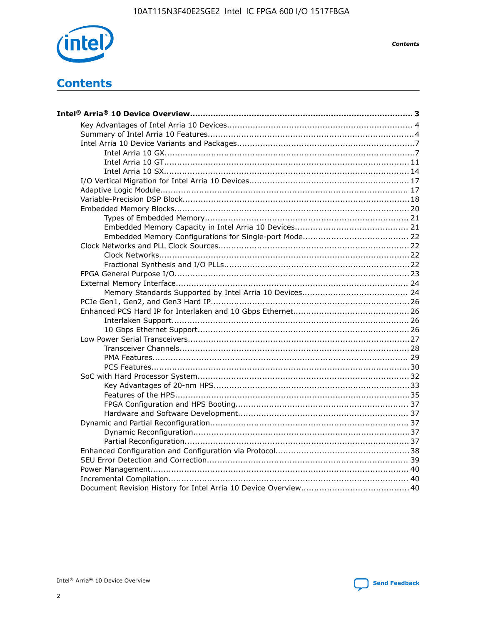

**Contents** 

# **Contents**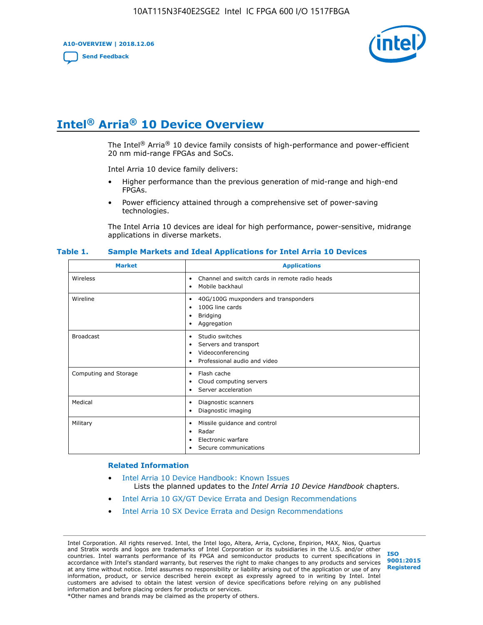**A10-OVERVIEW | 2018.12.06**

**[Send Feedback](mailto:FPGAtechdocfeedback@intel.com?subject=Feedback%20on%20Intel%20Arria%2010%20Device%20Overview%20(A10-OVERVIEW%202018.12.06)&body=We%20appreciate%20your%20feedback.%20In%20your%20comments,%20also%20specify%20the%20page%20number%20or%20paragraph.%20Thank%20you.)**



# **Intel® Arria® 10 Device Overview**

The Intel<sup>®</sup> Arria<sup>®</sup> 10 device family consists of high-performance and power-efficient 20 nm mid-range FPGAs and SoCs.

Intel Arria 10 device family delivers:

- Higher performance than the previous generation of mid-range and high-end FPGAs.
- Power efficiency attained through a comprehensive set of power-saving technologies.

The Intel Arria 10 devices are ideal for high performance, power-sensitive, midrange applications in diverse markets.

| <b>Market</b>         | <b>Applications</b>                                                                                               |
|-----------------------|-------------------------------------------------------------------------------------------------------------------|
| Wireless              | Channel and switch cards in remote radio heads<br>٠<br>Mobile backhaul<br>$\bullet$                               |
| Wireline              | 40G/100G muxponders and transponders<br>٠<br>100G line cards<br>٠<br><b>Bridging</b><br>٠<br>Aggregation<br>٠     |
| <b>Broadcast</b>      | Studio switches<br>٠<br>Servers and transport<br>٠<br>Videoconferencing<br>٠<br>Professional audio and video<br>٠ |
| Computing and Storage | Flash cache<br>٠<br>Cloud computing servers<br>٠<br>Server acceleration<br>٠                                      |
| Medical               | Diagnostic scanners<br>$\bullet$<br>Diagnostic imaging<br>٠                                                       |
| Military              | Missile guidance and control<br>٠<br>Radar<br>٠<br>Electronic warfare<br>٠<br>Secure communications<br>٠          |

#### **Table 1. Sample Markets and Ideal Applications for Intel Arria 10 Devices**

#### **Related Information**

- [Intel Arria 10 Device Handbook: Known Issues](http://www.altera.com/support/kdb/solutions/rd07302013_646.html) Lists the planned updates to the *Intel Arria 10 Device Handbook* chapters.
- [Intel Arria 10 GX/GT Device Errata and Design Recommendations](https://www.intel.com/content/www/us/en/programmable/documentation/agz1493851706374.html#yqz1494433888646)
- [Intel Arria 10 SX Device Errata and Design Recommendations](https://www.intel.com/content/www/us/en/programmable/documentation/cru1462832385668.html#cru1462832558642)

Intel Corporation. All rights reserved. Intel, the Intel logo, Altera, Arria, Cyclone, Enpirion, MAX, Nios, Quartus and Stratix words and logos are trademarks of Intel Corporation or its subsidiaries in the U.S. and/or other countries. Intel warrants performance of its FPGA and semiconductor products to current specifications in accordance with Intel's standard warranty, but reserves the right to make changes to any products and services at any time without notice. Intel assumes no responsibility or liability arising out of the application or use of any information, product, or service described herein except as expressly agreed to in writing by Intel. Intel customers are advised to obtain the latest version of device specifications before relying on any published information and before placing orders for products or services. \*Other names and brands may be claimed as the property of others.

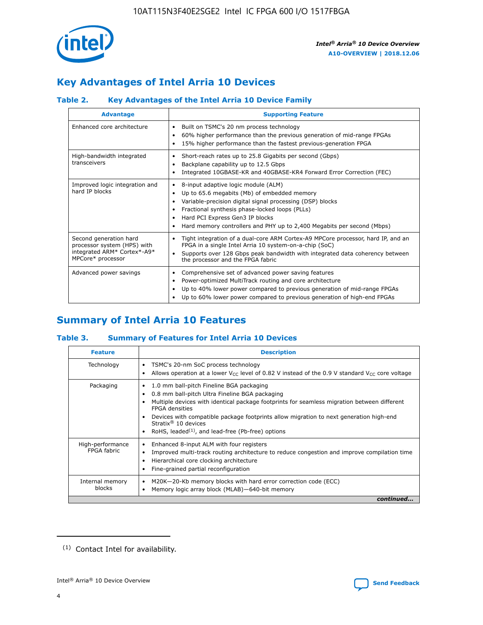

# **Key Advantages of Intel Arria 10 Devices**

# **Table 2. Key Advantages of the Intel Arria 10 Device Family**

| <b>Advantage</b>                                                                                          | <b>Supporting Feature</b>                                                                                                                                                                                                                                                                                                     |
|-----------------------------------------------------------------------------------------------------------|-------------------------------------------------------------------------------------------------------------------------------------------------------------------------------------------------------------------------------------------------------------------------------------------------------------------------------|
| Enhanced core architecture                                                                                | Built on TSMC's 20 nm process technology<br>٠<br>60% higher performance than the previous generation of mid-range FPGAs<br>٠<br>15% higher performance than the fastest previous-generation FPGA                                                                                                                              |
| High-bandwidth integrated<br>transceivers                                                                 | Short-reach rates up to 25.8 Gigabits per second (Gbps)<br>٠<br>Backplane capability up to 12.5 Gbps<br>٠<br>Integrated 10GBASE-KR and 40GBASE-KR4 Forward Error Correction (FEC)<br>٠                                                                                                                                        |
| Improved logic integration and<br>hard IP blocks                                                          | 8-input adaptive logic module (ALM)<br>٠<br>Up to 65.6 megabits (Mb) of embedded memory<br>٠<br>Variable-precision digital signal processing (DSP) blocks<br>Fractional synthesis phase-locked loops (PLLs)<br>٠<br>Hard PCI Express Gen3 IP blocks<br>Hard memory controllers and PHY up to 2,400 Megabits per second (Mbps) |
| Second generation hard<br>processor system (HPS) with<br>integrated ARM* Cortex*-A9*<br>MPCore* processor | Tight integration of a dual-core ARM Cortex-A9 MPCore processor, hard IP, and an<br>٠<br>FPGA in a single Intel Arria 10 system-on-a-chip (SoC)<br>Supports over 128 Gbps peak bandwidth with integrated data coherency between<br>$\bullet$<br>the processor and the FPGA fabric                                             |
| Advanced power savings                                                                                    | Comprehensive set of advanced power saving features<br>٠<br>Power-optimized MultiTrack routing and core architecture<br>٠<br>Up to 40% lower power compared to previous generation of mid-range FPGAs<br>٠<br>Up to 60% lower power compared to previous generation of high-end FPGAs                                         |

# **Summary of Intel Arria 10 Features**

## **Table 3. Summary of Features for Intel Arria 10 Devices**

| <b>Feature</b>                  | <b>Description</b>                                                                                                                                                                                                                                                                                                                                                                                           |
|---------------------------------|--------------------------------------------------------------------------------------------------------------------------------------------------------------------------------------------------------------------------------------------------------------------------------------------------------------------------------------------------------------------------------------------------------------|
| Technology                      | TSMC's 20-nm SoC process technology<br>٠<br>Allows operation at a lower $V_{CC}$ level of 0.82 V instead of the 0.9 V standard $V_{CC}$ core voltage                                                                                                                                                                                                                                                         |
| Packaging                       | 1.0 mm ball-pitch Fineline BGA packaging<br>٠<br>0.8 mm ball-pitch Ultra Fineline BGA packaging<br>Multiple devices with identical package footprints for seamless migration between different<br><b>FPGA</b> densities<br>Devices with compatible package footprints allow migration to next generation high-end<br>Stratix <sup>®</sup> 10 devices<br>RoHS, leaded $(1)$ , and lead-free (Pb-free) options |
| High-performance<br>FPGA fabric | Enhanced 8-input ALM with four registers<br>Improved multi-track routing architecture to reduce congestion and improve compilation time<br>Hierarchical core clocking architecture<br>Fine-grained partial reconfiguration                                                                                                                                                                                   |
| Internal memory<br>blocks       | M20K-20-Kb memory blocks with hard error correction code (ECC)<br>٠<br>Memory logic array block (MLAB)-640-bit memory                                                                                                                                                                                                                                                                                        |
|                                 | continued                                                                                                                                                                                                                                                                                                                                                                                                    |



<sup>(1)</sup> Contact Intel for availability.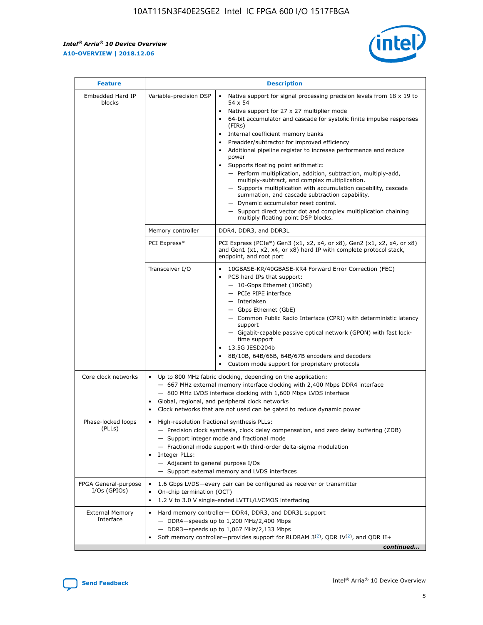r



| <b>Feature</b>                         |                                                                                                        | <b>Description</b>                                                                                                                                                                                                                                                                                                                                                                                                                                                                                                                                                                                                                                                                                                                                                                                                                                               |
|----------------------------------------|--------------------------------------------------------------------------------------------------------|------------------------------------------------------------------------------------------------------------------------------------------------------------------------------------------------------------------------------------------------------------------------------------------------------------------------------------------------------------------------------------------------------------------------------------------------------------------------------------------------------------------------------------------------------------------------------------------------------------------------------------------------------------------------------------------------------------------------------------------------------------------------------------------------------------------------------------------------------------------|
| Embedded Hard IP<br>blocks             | Variable-precision DSP                                                                                 | Native support for signal processing precision levels from $18 \times 19$ to<br>$\bullet$<br>54 x 54<br>Native support for 27 x 27 multiplier mode<br>$\bullet$<br>64-bit accumulator and cascade for systolic finite impulse responses<br>(FIRs)<br>Internal coefficient memory banks<br>$\bullet$<br>Preadder/subtractor for improved efficiency<br>Additional pipeline register to increase performance and reduce<br>power<br>Supports floating point arithmetic:<br>- Perform multiplication, addition, subtraction, multiply-add,<br>multiply-subtract, and complex multiplication.<br>- Supports multiplication with accumulation capability, cascade<br>summation, and cascade subtraction capability.<br>- Dynamic accumulator reset control.<br>- Support direct vector dot and complex multiplication chaining<br>multiply floating point DSP blocks. |
|                                        | Memory controller                                                                                      | DDR4, DDR3, and DDR3L                                                                                                                                                                                                                                                                                                                                                                                                                                                                                                                                                                                                                                                                                                                                                                                                                                            |
|                                        | PCI Express*                                                                                           | PCI Express (PCIe*) Gen3 (x1, x2, x4, or x8), Gen2 (x1, x2, x4, or x8)<br>and Gen1 (x1, x2, x4, or x8) hard IP with complete protocol stack,<br>endpoint, and root port                                                                                                                                                                                                                                                                                                                                                                                                                                                                                                                                                                                                                                                                                          |
|                                        | Transceiver I/O                                                                                        | $\bullet$<br>10GBASE-KR/40GBASE-KR4 Forward Error Correction (FEC)<br>PCS hard IPs that support:<br>$\bullet$<br>- 10-Gbps Ethernet (10GbE)<br>- PCIe PIPE interface<br>- Interlaken<br>- Gbps Ethernet (GbE)<br>- Common Public Radio Interface (CPRI) with deterministic latency<br>support<br>- Gigabit-capable passive optical network (GPON) with fast lock-<br>time support<br>13.5G JESD204b<br>$\bullet$<br>8B/10B, 64B/66B, 64B/67B encoders and decoders<br>Custom mode support for proprietary protocols                                                                                                                                                                                                                                                                                                                                              |
| Core clock networks                    | ٠<br>٠                                                                                                 | Up to 800 MHz fabric clocking, depending on the application:<br>- 667 MHz external memory interface clocking with 2,400 Mbps DDR4 interface<br>- 800 MHz LVDS interface clocking with 1,600 Mbps LVDS interface<br>Global, regional, and peripheral clock networks<br>Clock networks that are not used can be gated to reduce dynamic power                                                                                                                                                                                                                                                                                                                                                                                                                                                                                                                      |
| Phase-locked loops<br>(PLLs)           | High-resolution fractional synthesis PLLs:<br>٠<br>Integer PLLs:<br>- Adjacent to general purpose I/Os | - Precision clock synthesis, clock delay compensation, and zero delay buffering (ZDB)<br>- Support integer mode and fractional mode<br>- Fractional mode support with third-order delta-sigma modulation<br>- Support external memory and LVDS interfaces                                                                                                                                                                                                                                                                                                                                                                                                                                                                                                                                                                                                        |
| FPGA General-purpose<br>$I/Os$ (GPIOs) | On-chip termination (OCT)                                                                              | 1.6 Gbps LVDS-every pair can be configured as receiver or transmitter<br>1.2 V to 3.0 V single-ended LVTTL/LVCMOS interfacing                                                                                                                                                                                                                                                                                                                                                                                                                                                                                                                                                                                                                                                                                                                                    |
| <b>External Memory</b><br>Interface    |                                                                                                        | Hard memory controller- DDR4, DDR3, and DDR3L support<br>- DDR4-speeds up to 1,200 MHz/2,400 Mbps<br>- DDR3-speeds up to 1,067 MHz/2,133 Mbps<br>Soft memory controller—provides support for RLDRAM $3^{(2)}$ , QDR IV $^{(2)}$ , and QDR II+<br>continued                                                                                                                                                                                                                                                                                                                                                                                                                                                                                                                                                                                                       |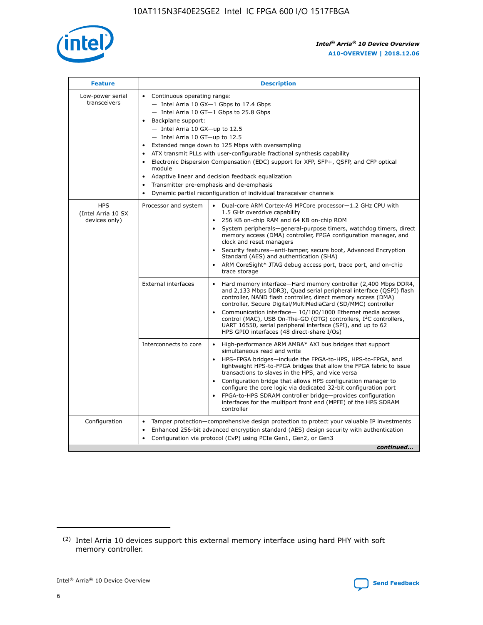

| <b>Feature</b>                                    | <b>Description</b>                                                                                                                                                                                                                                                                                                                                                                                                                                                                                                                                                                                                                                  |
|---------------------------------------------------|-----------------------------------------------------------------------------------------------------------------------------------------------------------------------------------------------------------------------------------------------------------------------------------------------------------------------------------------------------------------------------------------------------------------------------------------------------------------------------------------------------------------------------------------------------------------------------------------------------------------------------------------------------|
| Low-power serial<br>transceivers                  | • Continuous operating range:<br>- Intel Arria 10 GX-1 Gbps to 17.4 Gbps<br>- Intel Arria 10 GT-1 Gbps to 25.8 Gbps<br>Backplane support:<br>- Intel Arria 10 GX-up to 12.5<br>- Intel Arria 10 GT-up to 12.5<br>Extended range down to 125 Mbps with oversampling<br>ATX transmit PLLs with user-configurable fractional synthesis capability<br>Electronic Dispersion Compensation (EDC) support for XFP, SFP+, QSFP, and CFP optical<br>module<br>Adaptive linear and decision feedback equalization<br>$\bullet$<br>Transmitter pre-emphasis and de-emphasis<br>$\bullet$<br>Dynamic partial reconfiguration of individual transceiver channels |
| <b>HPS</b><br>(Intel Arria 10 SX<br>devices only) | Dual-core ARM Cortex-A9 MPCore processor-1.2 GHz CPU with<br>Processor and system<br>$\bullet$<br>1.5 GHz overdrive capability<br>256 KB on-chip RAM and 64 KB on-chip ROM<br>System peripherals—general-purpose timers, watchdog timers, direct<br>memory access (DMA) controller, FPGA configuration manager, and<br>clock and reset managers<br>Security features-anti-tamper, secure boot, Advanced Encryption<br>Standard (AES) and authentication (SHA)<br>ARM CoreSight* JTAG debug access port, trace port, and on-chip<br>trace storage                                                                                                    |
|                                                   | <b>External interfaces</b><br>Hard memory interface-Hard memory controller (2,400 Mbps DDR4,<br>$\bullet$<br>and 2,133 Mbps DDR3), Quad serial peripheral interface (QSPI) flash<br>controller, NAND flash controller, direct memory access (DMA)<br>controller, Secure Digital/MultiMediaCard (SD/MMC) controller<br>Communication interface-10/100/1000 Ethernet media access<br>control (MAC), USB On-The-GO (OTG) controllers, I <sup>2</sup> C controllers,<br>UART 16550, serial peripheral interface (SPI), and up to 62<br>HPS GPIO interfaces (48 direct-share I/Os)                                                                       |
|                                                   | High-performance ARM AMBA* AXI bus bridges that support<br>Interconnects to core<br>$\bullet$<br>simultaneous read and write<br>HPS-FPGA bridges-include the FPGA-to-HPS, HPS-to-FPGA, and<br>$\bullet$<br>lightweight HPS-to-FPGA bridges that allow the FPGA fabric to issue<br>transactions to slaves in the HPS, and vice versa<br>Configuration bridge that allows HPS configuration manager to<br>configure the core logic via dedicated 32-bit configuration port<br>FPGA-to-HPS SDRAM controller bridge-provides configuration<br>interfaces for the multiport front end (MPFE) of the HPS SDRAM<br>controller                              |
| Configuration                                     | Tamper protection—comprehensive design protection to protect your valuable IP investments<br>Enhanced 256-bit advanced encryption standard (AES) design security with authentication<br>٠<br>Configuration via protocol (CvP) using PCIe Gen1, Gen2, or Gen3<br>continued                                                                                                                                                                                                                                                                                                                                                                           |

<sup>(2)</sup> Intel Arria 10 devices support this external memory interface using hard PHY with soft memory controller.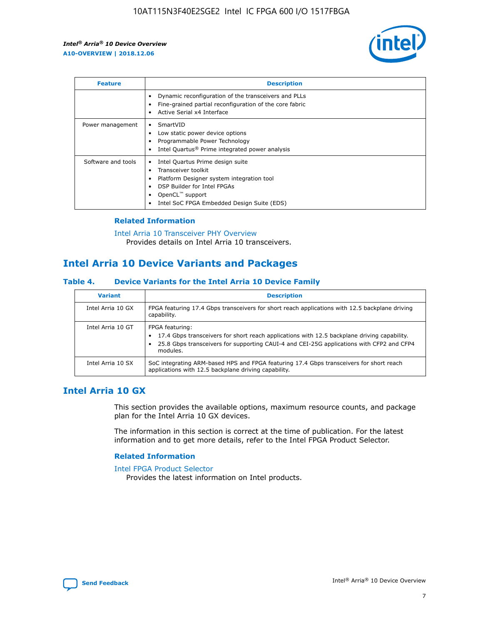

| <b>Feature</b>     | <b>Description</b>                                                                                                                                                                                               |
|--------------------|------------------------------------------------------------------------------------------------------------------------------------------------------------------------------------------------------------------|
|                    | Dynamic reconfiguration of the transceivers and PLLs<br>Fine-grained partial reconfiguration of the core fabric<br>Active Serial x4 Interface<br>$\bullet$                                                       |
| Power management   | SmartVID<br>Low static power device options<br>Programmable Power Technology<br>Intel Quartus <sup>®</sup> Prime integrated power analysis                                                                       |
| Software and tools | Intel Quartus Prime design suite<br>Transceiver toolkit<br>Platform Designer system integration tool<br>DSP Builder for Intel FPGAs<br>OpenCL <sup>™</sup> support<br>Intel SoC FPGA Embedded Design Suite (EDS) |

## **Related Information**

[Intel Arria 10 Transceiver PHY Overview](https://www.intel.com/content/www/us/en/programmable/documentation/nik1398707230472.html#nik1398706768037) Provides details on Intel Arria 10 transceivers.

# **Intel Arria 10 Device Variants and Packages**

#### **Table 4. Device Variants for the Intel Arria 10 Device Family**

| <b>Variant</b>    | <b>Description</b>                                                                                                                                                                                                     |
|-------------------|------------------------------------------------------------------------------------------------------------------------------------------------------------------------------------------------------------------------|
| Intel Arria 10 GX | FPGA featuring 17.4 Gbps transceivers for short reach applications with 12.5 backplane driving<br>capability.                                                                                                          |
| Intel Arria 10 GT | FPGA featuring:<br>17.4 Gbps transceivers for short reach applications with 12.5 backplane driving capability.<br>25.8 Gbps transceivers for supporting CAUI-4 and CEI-25G applications with CFP2 and CFP4<br>modules. |
| Intel Arria 10 SX | SoC integrating ARM-based HPS and FPGA featuring 17.4 Gbps transceivers for short reach<br>applications with 12.5 backplane driving capability.                                                                        |

# **Intel Arria 10 GX**

This section provides the available options, maximum resource counts, and package plan for the Intel Arria 10 GX devices.

The information in this section is correct at the time of publication. For the latest information and to get more details, refer to the Intel FPGA Product Selector.

#### **Related Information**

#### [Intel FPGA Product Selector](http://www.altera.com/products/selector/psg-selector.html) Provides the latest information on Intel products.

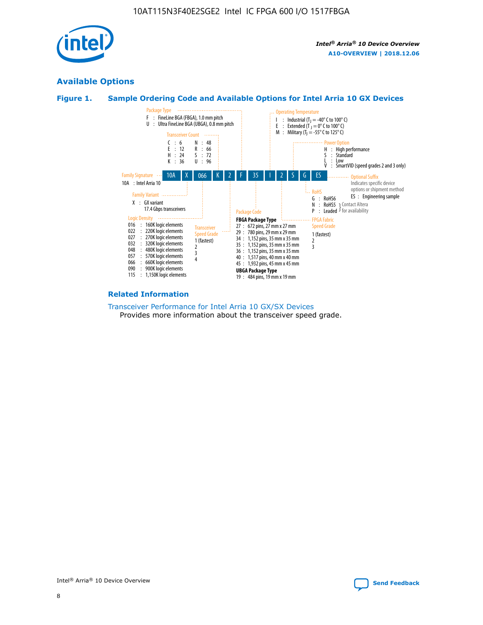

# **Available Options**





#### **Related Information**

[Transceiver Performance for Intel Arria 10 GX/SX Devices](https://www.intel.com/content/www/us/en/programmable/documentation/mcn1413182292568.html#mcn1413213965502) Provides more information about the transceiver speed grade.

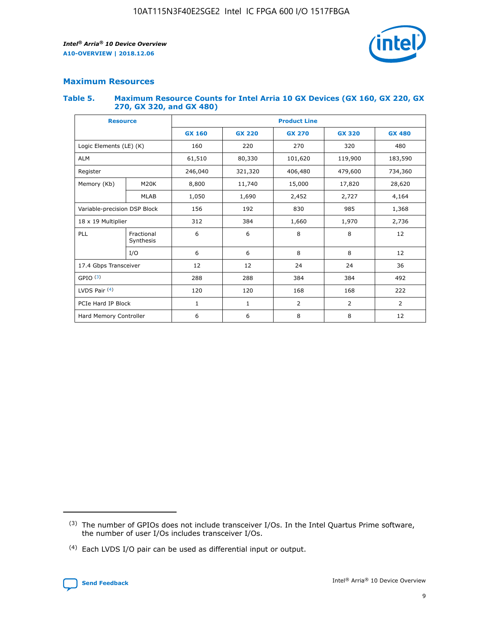

## **Maximum Resources**

#### **Table 5. Maximum Resource Counts for Intel Arria 10 GX Devices (GX 160, GX 220, GX 270, GX 320, and GX 480)**

| <b>Resource</b>              |                         | <b>Product Line</b> |                                                 |                |                |                |  |  |  |
|------------------------------|-------------------------|---------------------|-------------------------------------------------|----------------|----------------|----------------|--|--|--|
|                              |                         | <b>GX 160</b>       | <b>GX 220</b><br><b>GX 270</b><br><b>GX 320</b> |                |                | <b>GX 480</b>  |  |  |  |
| Logic Elements (LE) (K)      |                         | 160                 | 220                                             | 270            | 320            | 480            |  |  |  |
| <b>ALM</b>                   |                         | 61,510              | 80,330                                          | 101,620        | 119,900        | 183,590        |  |  |  |
| Register                     |                         | 246,040             | 406,480<br>321,320                              |                | 479,600        | 734,360        |  |  |  |
| Memory (Kb)                  | M <sub>20</sub> K       | 8,800               | 11,740                                          | 15,000         | 17,820         | 28,620         |  |  |  |
|                              | <b>MLAB</b>             | 1,050               | 1,690                                           | 2,452          | 2,727          | 4,164          |  |  |  |
| Variable-precision DSP Block |                         | 156                 | 192                                             | 830            | 985            | 1,368          |  |  |  |
| 18 x 19 Multiplier           |                         | 312                 | 384                                             | 1,970<br>1,660 |                | 2,736          |  |  |  |
| PLL                          | Fractional<br>Synthesis | 6                   | 6                                               | 8              | 8              | 12             |  |  |  |
|                              | I/O                     | 6                   | 6                                               | 8              | 8              | 12             |  |  |  |
| 17.4 Gbps Transceiver        |                         | 12                  | 12                                              | 24             | 24             | 36             |  |  |  |
| GPIO <sup>(3)</sup>          |                         | 288                 | 288                                             | 384            | 384            |                |  |  |  |
| LVDS Pair $(4)$              |                         | 120                 | 120                                             | 168            | 168            | 222            |  |  |  |
| PCIe Hard IP Block           |                         | 1                   | 1                                               | 2              | $\overline{2}$ | $\overline{2}$ |  |  |  |
| Hard Memory Controller       |                         | 6                   | 6                                               | 8              | 8              | 12             |  |  |  |

<sup>(4)</sup> Each LVDS I/O pair can be used as differential input or output.



<sup>(3)</sup> The number of GPIOs does not include transceiver I/Os. In the Intel Quartus Prime software, the number of user I/Os includes transceiver I/Os.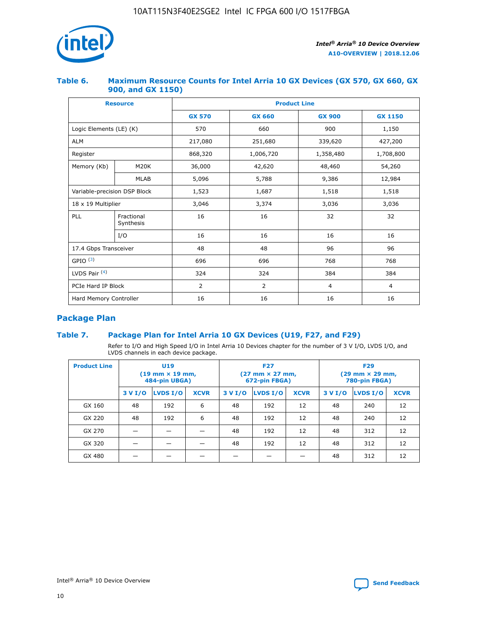

## **Table 6. Maximum Resource Counts for Intel Arria 10 GX Devices (GX 570, GX 660, GX 900, and GX 1150)**

|                              | <b>Resource</b>         | <b>Product Line</b> |                |                |                |  |  |  |
|------------------------------|-------------------------|---------------------|----------------|----------------|----------------|--|--|--|
|                              |                         | <b>GX 570</b>       | <b>GX 660</b>  | <b>GX 900</b>  | <b>GX 1150</b> |  |  |  |
| Logic Elements (LE) (K)      |                         | 570                 | 660            | 900            | 1,150          |  |  |  |
| <b>ALM</b>                   |                         | 217,080             | 251,680        | 339,620        | 427,200        |  |  |  |
| Register                     |                         | 868,320             | 1,006,720      |                | 1,708,800      |  |  |  |
| Memory (Kb)                  | <b>M20K</b>             | 36,000              | 42,620         | 48,460         | 54,260         |  |  |  |
|                              | <b>MLAB</b>             | 5,096               | 5,788          | 9,386          | 12,984         |  |  |  |
| Variable-precision DSP Block |                         | 1,523               | 1,687          | 1,518          | 1,518          |  |  |  |
| $18 \times 19$ Multiplier    |                         | 3,046               | 3,374          | 3,036          | 3,036          |  |  |  |
| PLL                          | Fractional<br>Synthesis | 16                  | 16             | 32             | 32             |  |  |  |
|                              | I/O                     | 16                  | 16             | 16             | 16             |  |  |  |
| 17.4 Gbps Transceiver        |                         | 48                  | 48<br>96       |                | 96             |  |  |  |
| GPIO <sup>(3)</sup>          |                         | 696                 | 696            | 768            | 768            |  |  |  |
| LVDS Pair $(4)$              |                         | 324                 | 324            | 384            | 384            |  |  |  |
| PCIe Hard IP Block           |                         | 2                   | $\overline{2}$ | $\overline{4}$ | 4              |  |  |  |
| Hard Memory Controller       |                         | 16                  | 16             | 16             | 16             |  |  |  |

# **Package Plan**

# **Table 7. Package Plan for Intel Arria 10 GX Devices (U19, F27, and F29)**

Refer to I/O and High Speed I/O in Intel Arria 10 Devices chapter for the number of 3 V I/O, LVDS I/O, and LVDS channels in each device package.

| <b>Product Line</b> | <b>U19</b><br>$(19 \text{ mm} \times 19 \text{ mm})$<br>484-pin UBGA) |          |             |         | <b>F27</b><br>(27 mm × 27 mm,<br>672-pin FBGA) |             | <b>F29</b><br>(29 mm × 29 mm,<br>780-pin FBGA) |          |             |  |
|---------------------|-----------------------------------------------------------------------|----------|-------------|---------|------------------------------------------------|-------------|------------------------------------------------|----------|-------------|--|
|                     | 3 V I/O                                                               | LVDS I/O | <b>XCVR</b> | 3 V I/O | <b>LVDS I/O</b>                                | <b>XCVR</b> | 3 V I/O                                        | LVDS I/O | <b>XCVR</b> |  |
| GX 160              | 48                                                                    | 192      | 6           | 48      | 192                                            | 12          | 48                                             | 240      | 12          |  |
| GX 220              | 48                                                                    | 192      | 6           | 48      | 192                                            | 12          | 48                                             | 240      | 12          |  |
| GX 270              |                                                                       |          |             | 48      | 192                                            | 12          | 48                                             | 312      | 12          |  |
| GX 320              |                                                                       |          |             | 48      | 192                                            | 12          | 48                                             | 312      | 12          |  |
| GX 480              |                                                                       |          |             |         |                                                |             | 48                                             | 312      | 12          |  |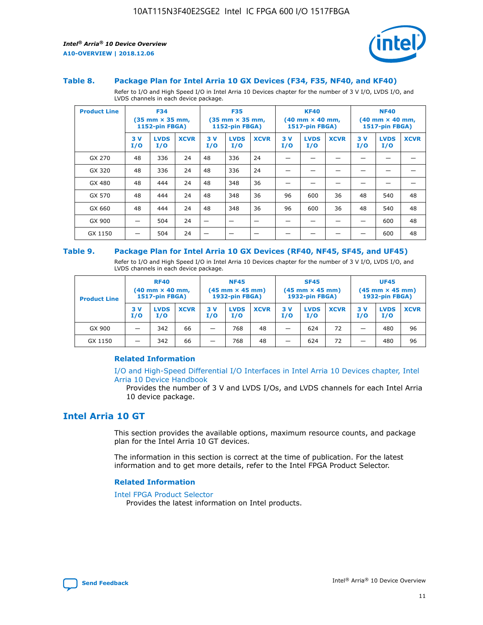

#### **Table 8. Package Plan for Intel Arria 10 GX Devices (F34, F35, NF40, and KF40)**

Refer to I/O and High Speed I/O in Intel Arria 10 Devices chapter for the number of 3 V I/O, LVDS I/O, and LVDS channels in each device package.

| <b>Product Line</b> | <b>F34</b><br>(35 mm × 35 mm,<br><b>1152-pin FBGA)</b> |                    | <b>F35</b><br>$(35$ mm $\times$ 35 mm,<br><b>1152-pin FBGA)</b> |           | <b>KF40</b><br>$(40 \text{ mm} \times 40 \text{ mm})$<br>1517-pin FBGA) |             |           | <b>NF40</b><br>$(40 \text{ mm} \times 40 \text{ mm})$<br><b>1517-pin FBGA)</b> |             |           |                    |             |
|---------------------|--------------------------------------------------------|--------------------|-----------------------------------------------------------------|-----------|-------------------------------------------------------------------------|-------------|-----------|--------------------------------------------------------------------------------|-------------|-----------|--------------------|-------------|
|                     | 3V<br>I/O                                              | <b>LVDS</b><br>I/O | <b>XCVR</b>                                                     | 3V<br>I/O | <b>LVDS</b><br>I/O                                                      | <b>XCVR</b> | 3V<br>I/O | <b>LVDS</b><br>I/O                                                             | <b>XCVR</b> | 3V<br>I/O | <b>LVDS</b><br>I/O | <b>XCVR</b> |
| GX 270              | 48                                                     | 336                | 24                                                              | 48        | 336                                                                     | 24          |           |                                                                                |             |           |                    |             |
| GX 320              | 48                                                     | 336                | 24                                                              | 48        | 336                                                                     | 24          |           |                                                                                |             |           |                    |             |
| GX 480              | 48                                                     | 444                | 24                                                              | 48        | 348                                                                     | 36          |           |                                                                                |             |           |                    |             |
| GX 570              | 48                                                     | 444                | 24                                                              | 48        | 348                                                                     | 36          | 96        | 600                                                                            | 36          | 48        | 540                | 48          |
| GX 660              | 48                                                     | 444                | 24                                                              | 48        | 348                                                                     | 36          | 96        | 600                                                                            | 36          | 48        | 540                | 48          |
| GX 900              |                                                        | 504                | 24                                                              | -         |                                                                         | -           |           |                                                                                |             |           | 600                | 48          |
| GX 1150             |                                                        | 504                | 24                                                              |           |                                                                         |             |           |                                                                                |             |           | 600                | 48          |

#### **Table 9. Package Plan for Intel Arria 10 GX Devices (RF40, NF45, SF45, and UF45)**

Refer to I/O and High Speed I/O in Intel Arria 10 Devices chapter for the number of 3 V I/O, LVDS I/O, and LVDS channels in each device package.

| <b>Product Line</b> | <b>RF40</b><br>$(40$ mm $\times$ 40 mm,<br>1517-pin FBGA) |                    | <b>NF45</b><br>$(45 \text{ mm} \times 45 \text{ mm})$<br><b>1932-pin FBGA)</b> |            |                    | <b>SF45</b><br>$(45 \text{ mm} \times 45 \text{ mm})$<br><b>1932-pin FBGA)</b> |            |                    | <b>UF45</b><br>$(45 \text{ mm} \times 45 \text{ mm})$<br><b>1932-pin FBGA)</b> |           |                    |             |
|---------------------|-----------------------------------------------------------|--------------------|--------------------------------------------------------------------------------|------------|--------------------|--------------------------------------------------------------------------------|------------|--------------------|--------------------------------------------------------------------------------|-----------|--------------------|-------------|
|                     | 3V<br>I/O                                                 | <b>LVDS</b><br>I/O | <b>XCVR</b>                                                                    | 3 V<br>I/O | <b>LVDS</b><br>I/O | <b>XCVR</b>                                                                    | 3 V<br>I/O | <b>LVDS</b><br>I/O | <b>XCVR</b>                                                                    | 3V<br>I/O | <b>LVDS</b><br>I/O | <b>XCVR</b> |
| GX 900              |                                                           | 342                | 66                                                                             | _          | 768                | 48                                                                             |            | 624                | 72                                                                             |           | 480                | 96          |
| GX 1150             |                                                           | 342                | 66                                                                             | _          | 768                | 48                                                                             |            | 624                | 72                                                                             |           | 480                | 96          |

## **Related Information**

[I/O and High-Speed Differential I/O Interfaces in Intel Arria 10 Devices chapter, Intel](https://www.intel.com/content/www/us/en/programmable/documentation/sam1403482614086.html#sam1403482030321) [Arria 10 Device Handbook](https://www.intel.com/content/www/us/en/programmable/documentation/sam1403482614086.html#sam1403482030321)

Provides the number of 3 V and LVDS I/Os, and LVDS channels for each Intel Arria 10 device package.

# **Intel Arria 10 GT**

This section provides the available options, maximum resource counts, and package plan for the Intel Arria 10 GT devices.

The information in this section is correct at the time of publication. For the latest information and to get more details, refer to the Intel FPGA Product Selector.

#### **Related Information**

#### [Intel FPGA Product Selector](http://www.altera.com/products/selector/psg-selector.html)

Provides the latest information on Intel products.

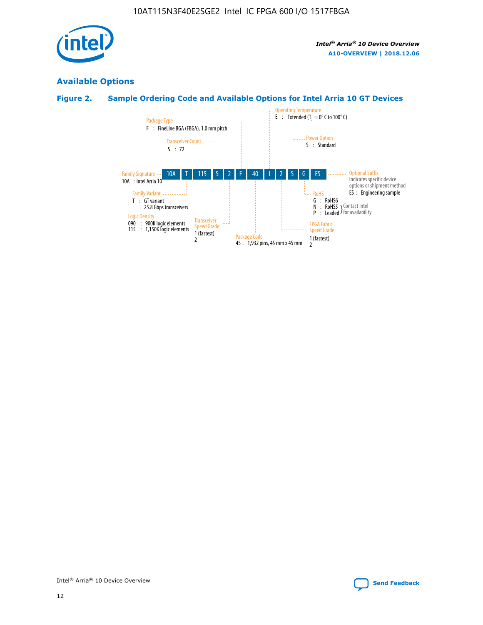

# **Available Options**

# **Figure 2. Sample Ordering Code and Available Options for Intel Arria 10 GT Devices**

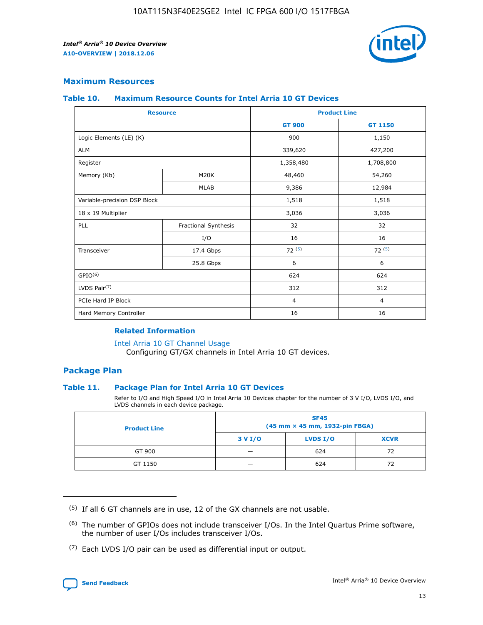

# **Maximum Resources**

#### **Table 10. Maximum Resource Counts for Intel Arria 10 GT Devices**

| <b>Resource</b>              |                      |                | <b>Product Line</b> |  |
|------------------------------|----------------------|----------------|---------------------|--|
|                              |                      | <b>GT 900</b>  | GT 1150             |  |
| Logic Elements (LE) (K)      |                      | 900            | 1,150               |  |
| <b>ALM</b>                   |                      | 339,620        | 427,200             |  |
| Register                     |                      | 1,358,480      | 1,708,800           |  |
| Memory (Kb)                  | M20K                 | 48,460         | 54,260              |  |
|                              | <b>MLAB</b>          | 9,386          | 12,984              |  |
| Variable-precision DSP Block |                      | 1,518          | 1,518               |  |
| 18 x 19 Multiplier           |                      | 3,036          | 3,036               |  |
| PLL                          | Fractional Synthesis | 32             | 32                  |  |
|                              | I/O                  | 16             | 16                  |  |
| Transceiver                  | 17.4 Gbps            | 72(5)          | 72(5)               |  |
|                              | 25.8 Gbps            | 6              | 6                   |  |
| GPIO <sup>(6)</sup>          |                      | 624            | 624                 |  |
| LVDS Pair $(7)$              |                      | 312            | 312                 |  |
| PCIe Hard IP Block           |                      | $\overline{4}$ | $\overline{4}$      |  |
| Hard Memory Controller       |                      | 16             | 16                  |  |

#### **Related Information**

#### [Intel Arria 10 GT Channel Usage](https://www.intel.com/content/www/us/en/programmable/documentation/nik1398707230472.html#nik1398707008178)

Configuring GT/GX channels in Intel Arria 10 GT devices.

## **Package Plan**

## **Table 11. Package Plan for Intel Arria 10 GT Devices**

Refer to I/O and High Speed I/O in Intel Arria 10 Devices chapter for the number of 3 V I/O, LVDS I/O, and LVDS channels in each device package.

| <b>Product Line</b> | <b>SF45</b><br>(45 mm × 45 mm, 1932-pin FBGA) |                 |             |  |  |  |
|---------------------|-----------------------------------------------|-----------------|-------------|--|--|--|
|                     | 3 V I/O                                       | <b>LVDS I/O</b> | <b>XCVR</b> |  |  |  |
| GT 900              |                                               | 624             | 72          |  |  |  |
| GT 1150             |                                               | 624             | 72          |  |  |  |

<sup>(7)</sup> Each LVDS I/O pair can be used as differential input or output.



 $(5)$  If all 6 GT channels are in use, 12 of the GX channels are not usable.

<sup>(6)</sup> The number of GPIOs does not include transceiver I/Os. In the Intel Quartus Prime software, the number of user I/Os includes transceiver I/Os.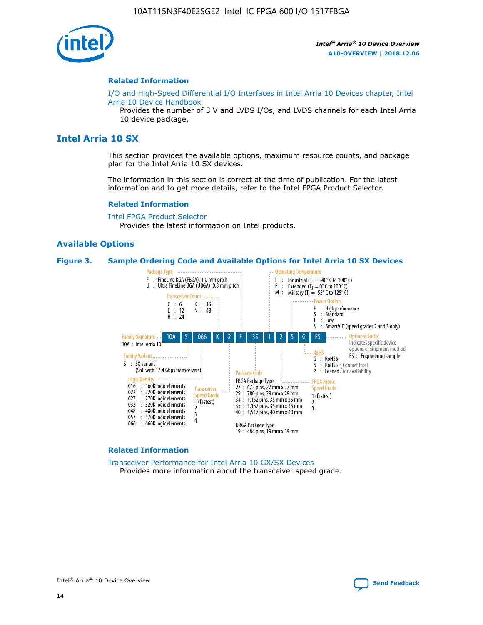

#### **Related Information**

[I/O and High-Speed Differential I/O Interfaces in Intel Arria 10 Devices chapter, Intel](https://www.intel.com/content/www/us/en/programmable/documentation/sam1403482614086.html#sam1403482030321) [Arria 10 Device Handbook](https://www.intel.com/content/www/us/en/programmable/documentation/sam1403482614086.html#sam1403482030321)

Provides the number of 3 V and LVDS I/Os, and LVDS channels for each Intel Arria 10 device package.

# **Intel Arria 10 SX**

This section provides the available options, maximum resource counts, and package plan for the Intel Arria 10 SX devices.

The information in this section is correct at the time of publication. For the latest information and to get more details, refer to the Intel FPGA Product Selector.

#### **Related Information**

[Intel FPGA Product Selector](http://www.altera.com/products/selector/psg-selector.html) Provides the latest information on Intel products.

#### **Available Options**

#### **Figure 3. Sample Ordering Code and Available Options for Intel Arria 10 SX Devices**



#### **Related Information**

[Transceiver Performance for Intel Arria 10 GX/SX Devices](https://www.intel.com/content/www/us/en/programmable/documentation/mcn1413182292568.html#mcn1413213965502) Provides more information about the transceiver speed grade.

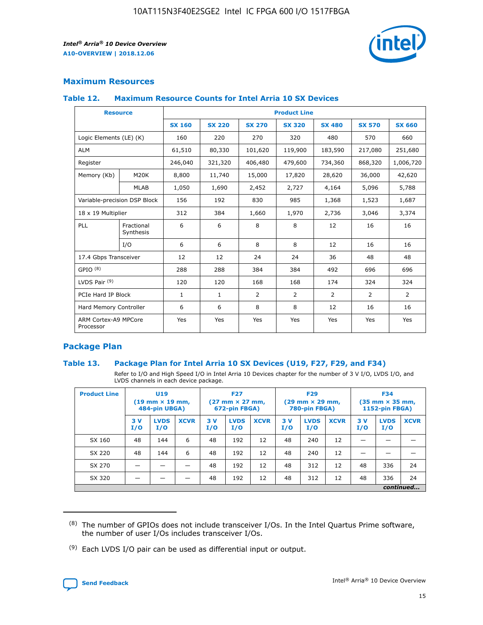

# **Maximum Resources**

## **Table 12. Maximum Resource Counts for Intel Arria 10 SX Devices**

|                                   | <b>Resource</b>         | <b>Product Line</b> |               |                |                |                |                |                |  |  |  |
|-----------------------------------|-------------------------|---------------------|---------------|----------------|----------------|----------------|----------------|----------------|--|--|--|
|                                   |                         | <b>SX 160</b>       | <b>SX 220</b> | <b>SX 270</b>  | <b>SX 320</b>  | <b>SX 480</b>  | <b>SX 570</b>  | <b>SX 660</b>  |  |  |  |
| Logic Elements (LE) (K)           |                         | 160                 | 220           | 270            | 320            | 480            | 570            | 660            |  |  |  |
| <b>ALM</b>                        |                         | 61,510              | 80,330        | 101,620        | 119,900        | 183,590        | 217,080        | 251,680        |  |  |  |
| Register                          |                         | 246,040             | 321,320       | 406,480        | 479,600        | 734,360        | 868,320        | 1,006,720      |  |  |  |
| Memory (Kb)                       | <b>M20K</b>             | 8,800               | 11,740        | 15,000         | 17,820         | 28,620         | 36,000         | 42,620         |  |  |  |
|                                   | <b>MLAB</b>             | 1,050               | 1,690         | 2,452          | 2,727          | 4,164          | 5,096          | 5,788          |  |  |  |
| Variable-precision DSP Block      |                         | 156                 | 192           | 830            | 985            | 1,368          | 1,523          | 1,687          |  |  |  |
| 18 x 19 Multiplier                |                         | 312                 | 384           | 1,660          | 1,970          | 2,736          | 3,046          | 3,374          |  |  |  |
| <b>PLL</b>                        | Fractional<br>Synthesis | 6                   | 6             | 8              | 8              | 12             | 16             | 16             |  |  |  |
|                                   | I/O                     | 6                   | 6             | 8              | 8              | 12             | 16             | 16             |  |  |  |
| 17.4 Gbps Transceiver             |                         | 12                  | 12            | 24             | 24             | 36             | 48             | 48             |  |  |  |
| GPIO <sup>(8)</sup>               |                         | 288                 | 288           | 384            | 384            | 492            | 696            | 696            |  |  |  |
| LVDS Pair $(9)$                   |                         | 120                 | 120           | 168            | 168            | 174            | 324            | 324            |  |  |  |
| PCIe Hard IP Block                |                         | $\mathbf{1}$        | $\mathbf{1}$  | $\overline{2}$ | $\overline{2}$ | $\overline{2}$ | $\overline{2}$ | $\overline{2}$ |  |  |  |
| Hard Memory Controller            |                         | 6                   | 6             | 8              | 8              | 12             | 16             | 16             |  |  |  |
| ARM Cortex-A9 MPCore<br>Processor |                         | Yes                 | Yes           | Yes            | Yes            | Yes            | Yes            | Yes            |  |  |  |

# **Package Plan**

## **Table 13. Package Plan for Intel Arria 10 SX Devices (U19, F27, F29, and F34)**

Refer to I/O and High Speed I/O in Intel Arria 10 Devices chapter for the number of 3 V I/O, LVDS I/O, and LVDS channels in each device package.

| <b>Product Line</b> | <b>U19</b><br>$(19 \text{ mm} \times 19 \text{ mm})$<br>484-pin UBGA) |                    |             | <b>F27</b><br>$(27 \text{ mm} \times 27 \text{ mm})$<br>672-pin FBGA) |                    | <b>F29</b><br>$(29 \text{ mm} \times 29 \text{ mm})$<br>780-pin FBGA) |           |                    | <b>F34</b><br>$(35 \text{ mm} \times 35 \text{ mm})$<br><b>1152-pin FBGA)</b> |           |                    |             |
|---------------------|-----------------------------------------------------------------------|--------------------|-------------|-----------------------------------------------------------------------|--------------------|-----------------------------------------------------------------------|-----------|--------------------|-------------------------------------------------------------------------------|-----------|--------------------|-------------|
|                     | 3V<br>I/O                                                             | <b>LVDS</b><br>I/O | <b>XCVR</b> | 3V<br>I/O                                                             | <b>LVDS</b><br>I/O | <b>XCVR</b>                                                           | 3V<br>I/O | <b>LVDS</b><br>I/O | <b>XCVR</b>                                                                   | 3V<br>I/O | <b>LVDS</b><br>I/O | <b>XCVR</b> |
| SX 160              | 48                                                                    | 144                | 6           | 48                                                                    | 192                | 12                                                                    | 48        | 240                | 12                                                                            | -         |                    |             |
| SX 220              | 48                                                                    | 144                | 6           | 48                                                                    | 192                | 12                                                                    | 48        | 240                | 12                                                                            |           |                    |             |
| SX 270              |                                                                       |                    |             | 48                                                                    | 192                | 12                                                                    | 48        | 312                | 12                                                                            | 48        | 336                | 24          |
| SX 320              |                                                                       |                    |             | 48                                                                    | 192                | 12                                                                    | 48        | 312                | 12                                                                            | 48        | 336                | 24          |
|                     | continued                                                             |                    |             |                                                                       |                    |                                                                       |           |                    |                                                                               |           |                    |             |

 $(8)$  The number of GPIOs does not include transceiver I/Os. In the Intel Quartus Prime software, the number of user I/Os includes transceiver I/Os.

 $(9)$  Each LVDS I/O pair can be used as differential input or output.

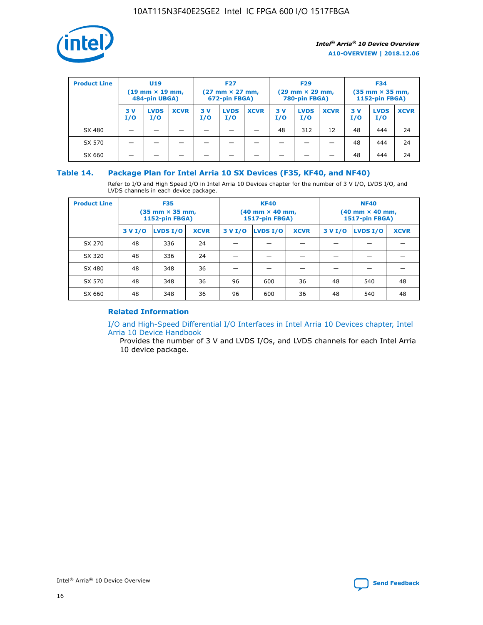

| <b>Product Line</b> | U <sub>19</sub><br>$(19 \text{ mm} \times 19 \text{ mm})$<br>484-pin UBGA) |                    | <b>F27</b><br>$(27 \text{ mm} \times 27 \text{ mm})$<br>672-pin FBGA) |           | <b>F29</b><br>$(29 \text{ mm} \times 29 \text{ mm})$<br>780-pin FBGA) |             |           | <b>F34</b><br>$(35$ mm $\times$ 35 mm,<br><b>1152-pin FBGA)</b> |             |           |                    |             |
|---------------------|----------------------------------------------------------------------------|--------------------|-----------------------------------------------------------------------|-----------|-----------------------------------------------------------------------|-------------|-----------|-----------------------------------------------------------------|-------------|-----------|--------------------|-------------|
|                     | 3V<br>I/O                                                                  | <b>LVDS</b><br>I/O | <b>XCVR</b>                                                           | 3V<br>I/O | <b>LVDS</b><br>I/O                                                    | <b>XCVR</b> | 3V<br>I/O | <b>LVDS</b><br>I/O                                              | <b>XCVR</b> | 3V<br>I/O | <b>LVDS</b><br>I/O | <b>XCVR</b> |
| SX 480              |                                                                            |                    |                                                                       |           |                                                                       |             | 48        | 312                                                             | 12          | 48        | 444                | 24          |
| SX 570              |                                                                            |                    |                                                                       |           |                                                                       |             |           |                                                                 |             | 48        | 444                | 24          |
| SX 660              |                                                                            |                    |                                                                       |           |                                                                       |             |           |                                                                 |             | 48        | 444                | 24          |

## **Table 14. Package Plan for Intel Arria 10 SX Devices (F35, KF40, and NF40)**

Refer to I/O and High Speed I/O in Intel Arria 10 Devices chapter for the number of 3 V I/O, LVDS I/O, and LVDS channels in each device package.

| <b>Product Line</b> | <b>F35</b><br>$(35 \text{ mm} \times 35 \text{ mm})$<br><b>1152-pin FBGA)</b> |          |             |                                           | <b>KF40</b><br>(40 mm × 40 mm,<br>1517-pin FBGA) |    | <b>NF40</b><br>$(40 \text{ mm} \times 40 \text{ mm})$<br>1517-pin FBGA) |          |             |  |
|---------------------|-------------------------------------------------------------------------------|----------|-------------|-------------------------------------------|--------------------------------------------------|----|-------------------------------------------------------------------------|----------|-------------|--|
|                     | 3 V I/O                                                                       | LVDS I/O | <b>XCVR</b> | <b>LVDS I/O</b><br><b>XCVR</b><br>3 V I/O |                                                  |    | 3 V I/O                                                                 | LVDS I/O | <b>XCVR</b> |  |
| SX 270              | 48                                                                            | 336      | 24          |                                           |                                                  |    |                                                                         |          |             |  |
| SX 320              | 48                                                                            | 336      | 24          |                                           |                                                  |    |                                                                         |          |             |  |
| SX 480              | 48                                                                            | 348      | 36          |                                           |                                                  |    |                                                                         |          |             |  |
| SX 570              | 48                                                                            | 348      | 36          | 96                                        | 600                                              | 36 | 48                                                                      | 540      | 48          |  |
| SX 660              | 48                                                                            | 348      | 36          | 96                                        | 600                                              | 36 | 48                                                                      | 540      | 48          |  |

# **Related Information**

[I/O and High-Speed Differential I/O Interfaces in Intel Arria 10 Devices chapter, Intel](https://www.intel.com/content/www/us/en/programmable/documentation/sam1403482614086.html#sam1403482030321) [Arria 10 Device Handbook](https://www.intel.com/content/www/us/en/programmable/documentation/sam1403482614086.html#sam1403482030321)

Provides the number of 3 V and LVDS I/Os, and LVDS channels for each Intel Arria 10 device package.

Intel<sup>®</sup> Arria<sup>®</sup> 10 Device Overview **[Send Feedback](mailto:FPGAtechdocfeedback@intel.com?subject=Feedback%20on%20Intel%20Arria%2010%20Device%20Overview%20(A10-OVERVIEW%202018.12.06)&body=We%20appreciate%20your%20feedback.%20In%20your%20comments,%20also%20specify%20the%20page%20number%20or%20paragraph.%20Thank%20you.)** Send Feedback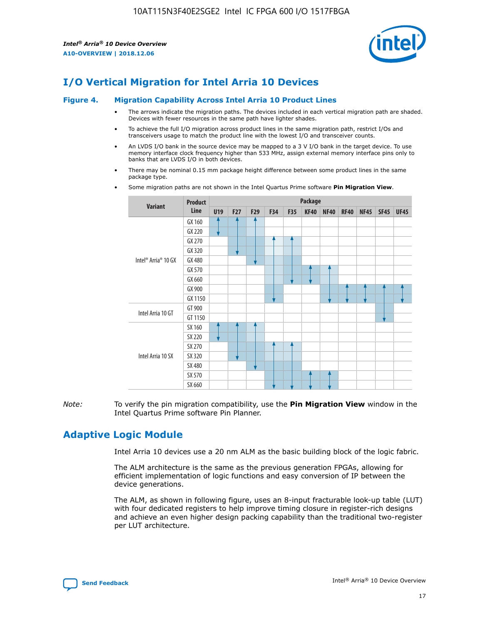

# **I/O Vertical Migration for Intel Arria 10 Devices**

#### **Figure 4. Migration Capability Across Intel Arria 10 Product Lines**

- The arrows indicate the migration paths. The devices included in each vertical migration path are shaded. Devices with fewer resources in the same path have lighter shades.
- To achieve the full I/O migration across product lines in the same migration path, restrict I/Os and transceivers usage to match the product line with the lowest I/O and transceiver counts.
- An LVDS I/O bank in the source device may be mapped to a 3 V I/O bank in the target device. To use memory interface clock frequency higher than 533 MHz, assign external memory interface pins only to banks that are LVDS I/O in both devices.
- There may be nominal 0.15 mm package height difference between some product lines in the same package type.
	- **Variant Product Line Package U19 F27 F29 F34 F35 KF40 NF40 RF40 NF45 SF45 UF45** Intel® Arria® 10 GX GX 160 GX 220 GX 270 GX 320 GX 480 GX 570 GX 660 GX 900 GX 1150 Intel Arria 10 GT GT 900 GT 1150 Intel Arria 10 SX SX 160 SX 220 SX 270 SX 320 SX 480 SX 570 SX 660
- Some migration paths are not shown in the Intel Quartus Prime software **Pin Migration View**.

*Note:* To verify the pin migration compatibility, use the **Pin Migration View** window in the Intel Quartus Prime software Pin Planner.

# **Adaptive Logic Module**

Intel Arria 10 devices use a 20 nm ALM as the basic building block of the logic fabric.

The ALM architecture is the same as the previous generation FPGAs, allowing for efficient implementation of logic functions and easy conversion of IP between the device generations.

The ALM, as shown in following figure, uses an 8-input fracturable look-up table (LUT) with four dedicated registers to help improve timing closure in register-rich designs and achieve an even higher design packing capability than the traditional two-register per LUT architecture.

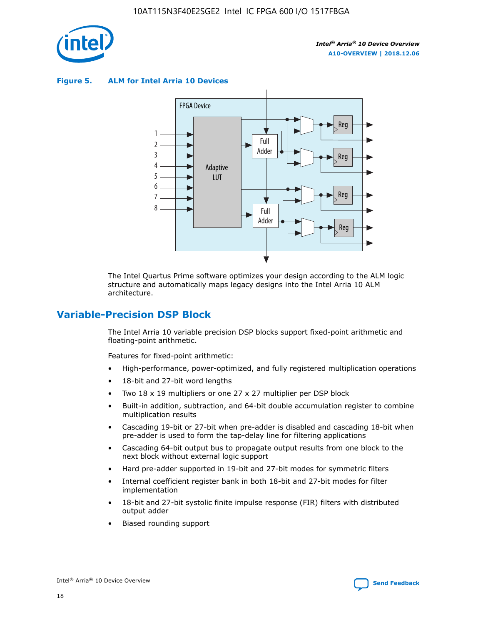

**Figure 5. ALM for Intel Arria 10 Devices**



The Intel Quartus Prime software optimizes your design according to the ALM logic structure and automatically maps legacy designs into the Intel Arria 10 ALM architecture.

# **Variable-Precision DSP Block**

The Intel Arria 10 variable precision DSP blocks support fixed-point arithmetic and floating-point arithmetic.

Features for fixed-point arithmetic:

- High-performance, power-optimized, and fully registered multiplication operations
- 18-bit and 27-bit word lengths
- Two 18 x 19 multipliers or one 27 x 27 multiplier per DSP block
- Built-in addition, subtraction, and 64-bit double accumulation register to combine multiplication results
- Cascading 19-bit or 27-bit when pre-adder is disabled and cascading 18-bit when pre-adder is used to form the tap-delay line for filtering applications
- Cascading 64-bit output bus to propagate output results from one block to the next block without external logic support
- Hard pre-adder supported in 19-bit and 27-bit modes for symmetric filters
- Internal coefficient register bank in both 18-bit and 27-bit modes for filter implementation
- 18-bit and 27-bit systolic finite impulse response (FIR) filters with distributed output adder
- Biased rounding support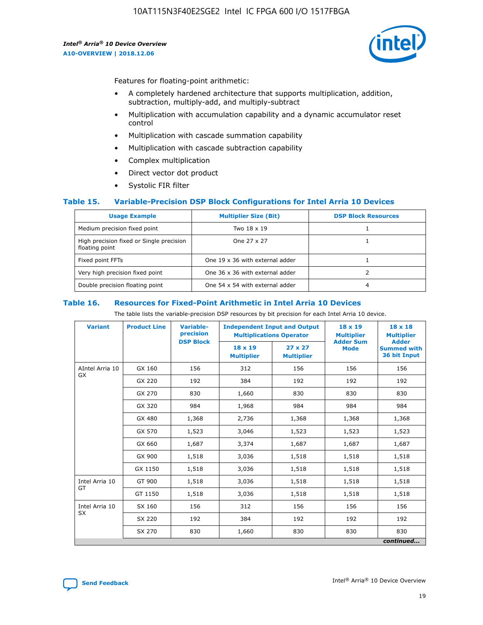

Features for floating-point arithmetic:

- A completely hardened architecture that supports multiplication, addition, subtraction, multiply-add, and multiply-subtract
- Multiplication with accumulation capability and a dynamic accumulator reset control
- Multiplication with cascade summation capability
- Multiplication with cascade subtraction capability
- Complex multiplication
- Direct vector dot product
- Systolic FIR filter

## **Table 15. Variable-Precision DSP Block Configurations for Intel Arria 10 Devices**

| <b>Usage Example</b>                                       | <b>Multiplier Size (Bit)</b>    | <b>DSP Block Resources</b> |
|------------------------------------------------------------|---------------------------------|----------------------------|
| Medium precision fixed point                               | Two 18 x 19                     |                            |
| High precision fixed or Single precision<br>floating point | One 27 x 27                     |                            |
| Fixed point FFTs                                           | One 19 x 36 with external adder |                            |
| Very high precision fixed point                            | One 36 x 36 with external adder |                            |
| Double precision floating point                            | One 54 x 54 with external adder | 4                          |

#### **Table 16. Resources for Fixed-Point Arithmetic in Intel Arria 10 Devices**

The table lists the variable-precision DSP resources by bit precision for each Intel Arria 10 device.

| <b>Variant</b>  | <b>Product Line</b> | <b>Variable-</b><br>precision<br><b>DSP Block</b> | <b>Independent Input and Output</b><br><b>Multiplications Operator</b> |                                     | 18 x 19<br><b>Multiplier</b><br><b>Adder Sum</b> | $18 \times 18$<br><b>Multiplier</b><br><b>Adder</b> |
|-----------------|---------------------|---------------------------------------------------|------------------------------------------------------------------------|-------------------------------------|--------------------------------------------------|-----------------------------------------------------|
|                 |                     |                                                   | 18 x 19<br><b>Multiplier</b>                                           | $27 \times 27$<br><b>Multiplier</b> | <b>Mode</b>                                      | <b>Summed with</b><br>36 bit Input                  |
| AIntel Arria 10 | GX 160              | 156                                               | 312                                                                    | 156                                 | 156                                              | 156                                                 |
| GX              | GX 220              | 192                                               | 384                                                                    | 192                                 | 192                                              | 192                                                 |
|                 | GX 270              | 830                                               | 1,660                                                                  | 830                                 | 830                                              | 830                                                 |
|                 | GX 320              | 984                                               | 1,968                                                                  | 984                                 | 984                                              | 984                                                 |
|                 | GX 480              | 1,368                                             | 2,736                                                                  | 1,368                               | 1,368                                            | 1,368                                               |
|                 | GX 570              | 1,523                                             | 3,046                                                                  | 1,523                               | 1,523                                            | 1,523                                               |
|                 | GX 660              | 1,687                                             | 3,374                                                                  | 1,687                               | 1,687                                            | 1,687                                               |
|                 | GX 900              | 1,518                                             | 3,036                                                                  | 1,518                               | 1,518                                            | 1,518                                               |
|                 | GX 1150             | 1,518                                             | 3,036                                                                  | 1,518                               | 1,518                                            | 1,518                                               |
| Intel Arria 10  | GT 900              | 1,518                                             | 3,036                                                                  | 1,518                               | 1,518                                            | 1,518                                               |
| GT              | GT 1150             | 1,518                                             | 3,036                                                                  | 1,518                               | 1,518                                            | 1,518                                               |
| Intel Arria 10  | SX 160              | 156                                               | 312                                                                    | 156                                 | 156                                              | 156                                                 |
| <b>SX</b>       | SX 220<br>192       |                                                   | 384                                                                    | 192                                 | 192                                              | 192                                                 |
|                 | SX 270              | 830                                               | 1,660                                                                  | 830                                 | 830                                              | 830                                                 |
|                 |                     |                                                   |                                                                        |                                     |                                                  | continued                                           |

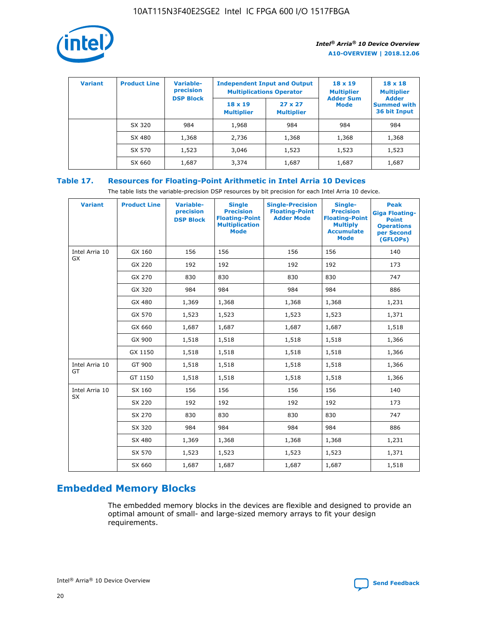

| <b>Variant</b> | <b>Product Line</b> | <b>Variable-</b><br>precision |                                     | <b>Independent Input and Output</b><br><b>Multiplications Operator</b> | $18 \times 19$<br><b>Multiplier</b> | $18 \times 18$<br><b>Multiplier</b><br><b>Adder</b> |  |
|----------------|---------------------|-------------------------------|-------------------------------------|------------------------------------------------------------------------|-------------------------------------|-----------------------------------------------------|--|
|                |                     | <b>DSP Block</b>              | $18 \times 19$<br><b>Multiplier</b> | $27 \times 27$<br><b>Multiplier</b>                                    | <b>Adder Sum</b><br>Mode            | <b>Summed with</b><br>36 bit Input                  |  |
|                | SX 320              | 984                           | 1,968                               | 984                                                                    | 984                                 | 984                                                 |  |
|                | SX 480              | 1,368                         | 2,736                               | 1,368                                                                  | 1,368                               | 1,368                                               |  |
|                | SX 570              | 1,523                         | 3,046                               | 1,523                                                                  | 1,523                               | 1,523                                               |  |
|                | SX 660              | 1,687                         | 3,374                               | 1,687                                                                  | 1,687                               | 1,687                                               |  |

# **Table 17. Resources for Floating-Point Arithmetic in Intel Arria 10 Devices**

The table lists the variable-precision DSP resources by bit precision for each Intel Arria 10 device.

| <b>Variant</b> | <b>Product Line</b> | <b>Variable-</b><br>precision<br><b>DSP Block</b> | <b>Single</b><br><b>Precision</b><br><b>Floating-Point</b><br><b>Multiplication</b><br><b>Mode</b> | <b>Single-Precision</b><br><b>Floating-Point</b><br><b>Adder Mode</b> | Single-<br><b>Precision</b><br><b>Floating-Point</b><br><b>Multiply</b><br><b>Accumulate</b><br><b>Mode</b> | <b>Peak</b><br><b>Giga Floating-</b><br><b>Point</b><br><b>Operations</b><br>per Second<br>(GFLOPs) |
|----------------|---------------------|---------------------------------------------------|----------------------------------------------------------------------------------------------------|-----------------------------------------------------------------------|-------------------------------------------------------------------------------------------------------------|-----------------------------------------------------------------------------------------------------|
| Intel Arria 10 | GX 160              | 156                                               | 156                                                                                                | 156                                                                   | 156                                                                                                         | 140                                                                                                 |
| GX             | GX 220              | 192                                               | 192                                                                                                | 192                                                                   | 192                                                                                                         | 173                                                                                                 |
|                | GX 270              | 830                                               | 830                                                                                                | 830                                                                   | 830                                                                                                         | 747                                                                                                 |
|                | GX 320              | 984                                               | 984                                                                                                | 984                                                                   | 984                                                                                                         | 886                                                                                                 |
|                | GX 480              | 1,369                                             | 1,368                                                                                              | 1,368                                                                 | 1,368                                                                                                       | 1,231                                                                                               |
|                | GX 570              | 1,523                                             | 1,523                                                                                              | 1,523                                                                 | 1,523                                                                                                       | 1,371                                                                                               |
|                | GX 660              | 1,687                                             | 1,687                                                                                              | 1,687                                                                 | 1,687                                                                                                       | 1,518                                                                                               |
|                | GX 900              | 1,518                                             | 1,518                                                                                              | 1,518                                                                 | 1,518                                                                                                       | 1,366                                                                                               |
|                | GX 1150             | 1,518                                             | 1,518                                                                                              | 1,518                                                                 | 1,518                                                                                                       | 1,366                                                                                               |
| Intel Arria 10 | GT 900              | 1,518                                             | 1,518                                                                                              | 1,518                                                                 | 1,518                                                                                                       | 1,366                                                                                               |
| GT             | GT 1150             | 1,518                                             | 1,518                                                                                              | 1,518                                                                 | 1,518                                                                                                       | 1,366                                                                                               |
| Intel Arria 10 | SX 160              | 156                                               | 156                                                                                                | 156                                                                   | 156                                                                                                         | 140                                                                                                 |
| SX             | SX 220              | 192                                               | 192                                                                                                | 192                                                                   | 192                                                                                                         | 173                                                                                                 |
|                | SX 270              | 830                                               | 830                                                                                                | 830                                                                   | 830                                                                                                         | 747                                                                                                 |
|                | SX 320              | 984                                               | 984                                                                                                | 984                                                                   | 984                                                                                                         | 886                                                                                                 |
|                | SX 480              | 1,369                                             | 1,368                                                                                              | 1,368                                                                 | 1,368                                                                                                       | 1,231                                                                                               |
|                | SX 570              | 1,523                                             | 1,523                                                                                              | 1,523                                                                 | 1,523                                                                                                       | 1,371                                                                                               |
|                | SX 660              | 1,687                                             | 1,687                                                                                              | 1,687                                                                 | 1,687                                                                                                       | 1,518                                                                                               |

# **Embedded Memory Blocks**

The embedded memory blocks in the devices are flexible and designed to provide an optimal amount of small- and large-sized memory arrays to fit your design requirements.

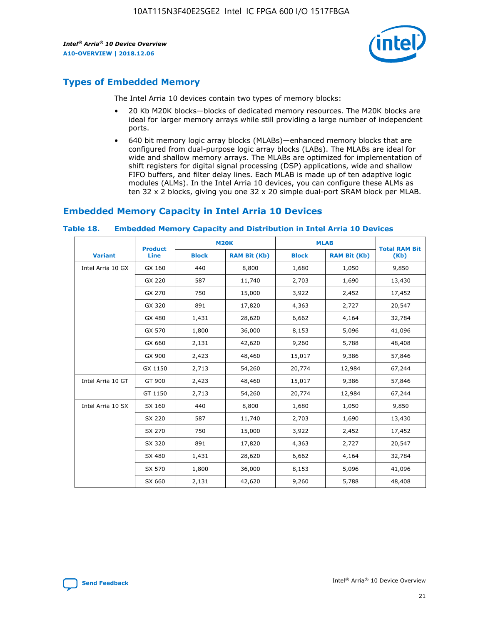

# **Types of Embedded Memory**

The Intel Arria 10 devices contain two types of memory blocks:

- 20 Kb M20K blocks—blocks of dedicated memory resources. The M20K blocks are ideal for larger memory arrays while still providing a large number of independent ports.
- 640 bit memory logic array blocks (MLABs)—enhanced memory blocks that are configured from dual-purpose logic array blocks (LABs). The MLABs are ideal for wide and shallow memory arrays. The MLABs are optimized for implementation of shift registers for digital signal processing (DSP) applications, wide and shallow FIFO buffers, and filter delay lines. Each MLAB is made up of ten adaptive logic modules (ALMs). In the Intel Arria 10 devices, you can configure these ALMs as ten 32 x 2 blocks, giving you one 32 x 20 simple dual-port SRAM block per MLAB.

# **Embedded Memory Capacity in Intel Arria 10 Devices**

|                   | <b>Product</b> | <b>M20K</b>  |                     | <b>MLAB</b>  |                     | <b>Total RAM Bit</b> |
|-------------------|----------------|--------------|---------------------|--------------|---------------------|----------------------|
| <b>Variant</b>    | <b>Line</b>    | <b>Block</b> | <b>RAM Bit (Kb)</b> | <b>Block</b> | <b>RAM Bit (Kb)</b> | (Kb)                 |
| Intel Arria 10 GX | GX 160         | 440          | 8,800               | 1,680        | 1,050               | 9,850                |
|                   | GX 220         | 587          | 11,740              | 2,703        | 1,690               | 13,430               |
|                   | GX 270         | 750          | 15,000              | 3,922        | 2,452               | 17,452               |
|                   | GX 320         | 891          | 17,820              | 4,363        | 2,727               | 20,547               |
|                   | GX 480         | 1,431        | 28,620              | 6,662        | 4,164               | 32,784               |
|                   | GX 570         | 1,800        | 36,000              | 8,153        | 5,096               | 41,096               |
|                   | GX 660         | 2,131        | 42,620              | 9,260        | 5,788               | 48,408               |
|                   | GX 900         | 2,423        | 48,460              | 15,017       | 9,386               | 57,846               |
|                   | GX 1150        | 2,713        | 54,260              | 20,774       | 12,984              | 67,244               |
| Intel Arria 10 GT | GT 900         | 2,423        | 48,460              | 15,017       | 9,386               | 57,846               |
|                   | GT 1150        | 2,713        | 54,260              | 20,774       | 12,984              | 67,244               |
| Intel Arria 10 SX | SX 160         | 440          | 8,800               | 1,680        | 1,050               | 9,850                |
|                   | SX 220         | 587          | 11,740              | 2,703        | 1,690               | 13,430               |
|                   | SX 270         | 750          | 15,000              | 3,922        | 2,452               | 17,452               |
|                   | SX 320         | 891          | 17,820              | 4,363        | 2,727               | 20,547               |
|                   | SX 480         | 1,431        | 28,620              | 6,662        | 4,164               | 32,784               |
|                   | SX 570         | 1,800        | 36,000              | 8,153        | 5,096               | 41,096               |
|                   | SX 660         | 2,131        | 42,620              | 9,260        | 5,788               | 48,408               |

#### **Table 18. Embedded Memory Capacity and Distribution in Intel Arria 10 Devices**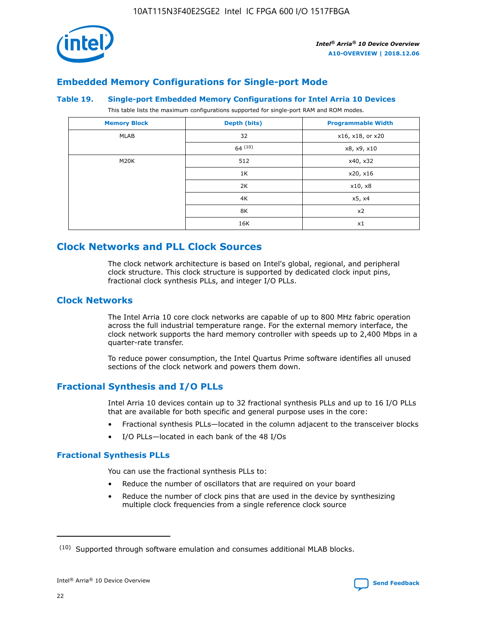

# **Embedded Memory Configurations for Single-port Mode**

#### **Table 19. Single-port Embedded Memory Configurations for Intel Arria 10 Devices**

This table lists the maximum configurations supported for single-port RAM and ROM modes.

| <b>Memory Block</b> | Depth (bits) | <b>Programmable Width</b> |
|---------------------|--------------|---------------------------|
| MLAB                | 32           | x16, x18, or x20          |
|                     | 64(10)       | x8, x9, x10               |
| M20K                | 512          | x40, x32                  |
|                     | 1K           | x20, x16                  |
|                     | 2K           | x10, x8                   |
|                     | 4K           | x5, x4                    |
|                     | 8K           | x2                        |
|                     | 16K          | x1                        |

# **Clock Networks and PLL Clock Sources**

The clock network architecture is based on Intel's global, regional, and peripheral clock structure. This clock structure is supported by dedicated clock input pins, fractional clock synthesis PLLs, and integer I/O PLLs.

# **Clock Networks**

The Intel Arria 10 core clock networks are capable of up to 800 MHz fabric operation across the full industrial temperature range. For the external memory interface, the clock network supports the hard memory controller with speeds up to 2,400 Mbps in a quarter-rate transfer.

To reduce power consumption, the Intel Quartus Prime software identifies all unused sections of the clock network and powers them down.

# **Fractional Synthesis and I/O PLLs**

Intel Arria 10 devices contain up to 32 fractional synthesis PLLs and up to 16 I/O PLLs that are available for both specific and general purpose uses in the core:

- Fractional synthesis PLLs—located in the column adjacent to the transceiver blocks
- I/O PLLs—located in each bank of the 48 I/Os

## **Fractional Synthesis PLLs**

You can use the fractional synthesis PLLs to:

- Reduce the number of oscillators that are required on your board
- Reduce the number of clock pins that are used in the device by synthesizing multiple clock frequencies from a single reference clock source

<sup>(10)</sup> Supported through software emulation and consumes additional MLAB blocks.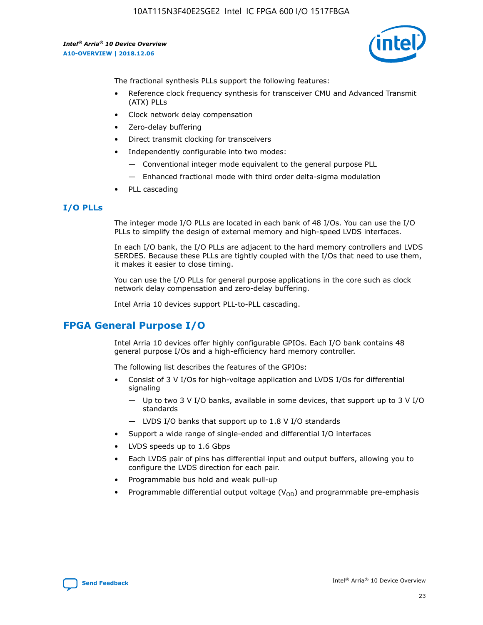

The fractional synthesis PLLs support the following features:

- Reference clock frequency synthesis for transceiver CMU and Advanced Transmit (ATX) PLLs
- Clock network delay compensation
- Zero-delay buffering
- Direct transmit clocking for transceivers
- Independently configurable into two modes:
	- Conventional integer mode equivalent to the general purpose PLL
	- Enhanced fractional mode with third order delta-sigma modulation
- PLL cascading

## **I/O PLLs**

The integer mode I/O PLLs are located in each bank of 48 I/Os. You can use the I/O PLLs to simplify the design of external memory and high-speed LVDS interfaces.

In each I/O bank, the I/O PLLs are adjacent to the hard memory controllers and LVDS SERDES. Because these PLLs are tightly coupled with the I/Os that need to use them, it makes it easier to close timing.

You can use the I/O PLLs for general purpose applications in the core such as clock network delay compensation and zero-delay buffering.

Intel Arria 10 devices support PLL-to-PLL cascading.

# **FPGA General Purpose I/O**

Intel Arria 10 devices offer highly configurable GPIOs. Each I/O bank contains 48 general purpose I/Os and a high-efficiency hard memory controller.

The following list describes the features of the GPIOs:

- Consist of 3 V I/Os for high-voltage application and LVDS I/Os for differential signaling
	- Up to two 3 V I/O banks, available in some devices, that support up to 3 V I/O standards
	- LVDS I/O banks that support up to 1.8 V I/O standards
- Support a wide range of single-ended and differential I/O interfaces
- LVDS speeds up to 1.6 Gbps
- Each LVDS pair of pins has differential input and output buffers, allowing you to configure the LVDS direction for each pair.
- Programmable bus hold and weak pull-up
- Programmable differential output voltage  $(V_{OD})$  and programmable pre-emphasis

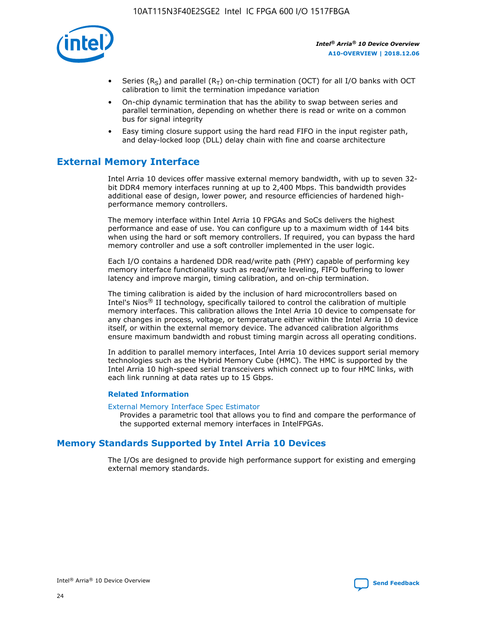

- Series (R<sub>S</sub>) and parallel (R<sub>T</sub>) on-chip termination (OCT) for all I/O banks with OCT calibration to limit the termination impedance variation
- On-chip dynamic termination that has the ability to swap between series and parallel termination, depending on whether there is read or write on a common bus for signal integrity
- Easy timing closure support using the hard read FIFO in the input register path, and delay-locked loop (DLL) delay chain with fine and coarse architecture

# **External Memory Interface**

Intel Arria 10 devices offer massive external memory bandwidth, with up to seven 32 bit DDR4 memory interfaces running at up to 2,400 Mbps. This bandwidth provides additional ease of design, lower power, and resource efficiencies of hardened highperformance memory controllers.

The memory interface within Intel Arria 10 FPGAs and SoCs delivers the highest performance and ease of use. You can configure up to a maximum width of 144 bits when using the hard or soft memory controllers. If required, you can bypass the hard memory controller and use a soft controller implemented in the user logic.

Each I/O contains a hardened DDR read/write path (PHY) capable of performing key memory interface functionality such as read/write leveling, FIFO buffering to lower latency and improve margin, timing calibration, and on-chip termination.

The timing calibration is aided by the inclusion of hard microcontrollers based on Intel's Nios® II technology, specifically tailored to control the calibration of multiple memory interfaces. This calibration allows the Intel Arria 10 device to compensate for any changes in process, voltage, or temperature either within the Intel Arria 10 device itself, or within the external memory device. The advanced calibration algorithms ensure maximum bandwidth and robust timing margin across all operating conditions.

In addition to parallel memory interfaces, Intel Arria 10 devices support serial memory technologies such as the Hybrid Memory Cube (HMC). The HMC is supported by the Intel Arria 10 high-speed serial transceivers which connect up to four HMC links, with each link running at data rates up to 15 Gbps.

## **Related Information**

#### [External Memory Interface Spec Estimator](http://www.altera.com/technology/memory/estimator/mem-emif-index.html)

Provides a parametric tool that allows you to find and compare the performance of the supported external memory interfaces in IntelFPGAs.

# **Memory Standards Supported by Intel Arria 10 Devices**

The I/Os are designed to provide high performance support for existing and emerging external memory standards.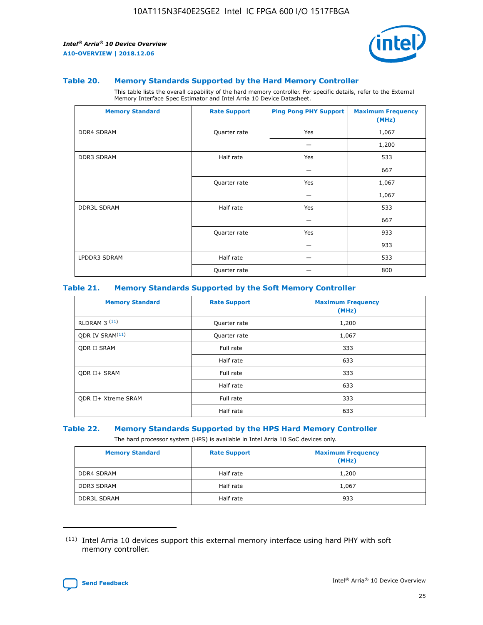

#### **Table 20. Memory Standards Supported by the Hard Memory Controller**

This table lists the overall capability of the hard memory controller. For specific details, refer to the External Memory Interface Spec Estimator and Intel Arria 10 Device Datasheet.

| <b>Memory Standard</b> | <b>Rate Support</b> | <b>Ping Pong PHY Support</b> | <b>Maximum Frequency</b><br>(MHz) |
|------------------------|---------------------|------------------------------|-----------------------------------|
| <b>DDR4 SDRAM</b>      | Quarter rate        | Yes                          | 1,067                             |
|                        |                     |                              | 1,200                             |
| DDR3 SDRAM             | Half rate           | Yes                          | 533                               |
|                        |                     |                              | 667                               |
|                        | Quarter rate        | Yes                          | 1,067                             |
|                        |                     |                              | 1,067                             |
| <b>DDR3L SDRAM</b>     | Half rate           | Yes                          | 533                               |
|                        |                     |                              | 667                               |
|                        | Quarter rate        | Yes                          | 933                               |
|                        |                     |                              | 933                               |
| LPDDR3 SDRAM           | Half rate           |                              | 533                               |
|                        | Quarter rate        |                              | 800                               |

### **Table 21. Memory Standards Supported by the Soft Memory Controller**

| <b>Memory Standard</b>      | <b>Rate Support</b> | <b>Maximum Frequency</b><br>(MHz) |
|-----------------------------|---------------------|-----------------------------------|
| <b>RLDRAM 3 (11)</b>        | Quarter rate        | 1,200                             |
| ODR IV SRAM <sup>(11)</sup> | Quarter rate        | 1,067                             |
| <b>ODR II SRAM</b>          | Full rate           | 333                               |
|                             | Half rate           | 633                               |
| <b>ODR II+ SRAM</b>         | Full rate           | 333                               |
|                             | Half rate           | 633                               |
| <b>ODR II+ Xtreme SRAM</b>  | Full rate           | 333                               |
|                             | Half rate           | 633                               |

#### **Table 22. Memory Standards Supported by the HPS Hard Memory Controller**

The hard processor system (HPS) is available in Intel Arria 10 SoC devices only.

| <b>Memory Standard</b> | <b>Rate Support</b> | <b>Maximum Frequency</b><br>(MHz) |
|------------------------|---------------------|-----------------------------------|
| <b>DDR4 SDRAM</b>      | Half rate           | 1,200                             |
| <b>DDR3 SDRAM</b>      | Half rate           | 1,067                             |
| <b>DDR3L SDRAM</b>     | Half rate           | 933                               |

<sup>(11)</sup> Intel Arria 10 devices support this external memory interface using hard PHY with soft memory controller.

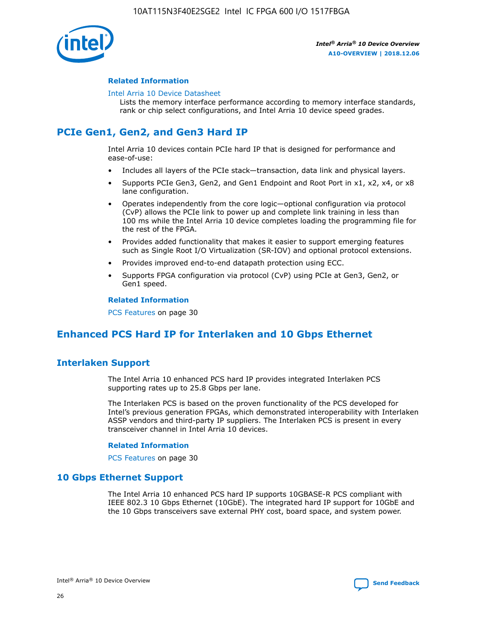

## **Related Information**

#### [Intel Arria 10 Device Datasheet](https://www.intel.com/content/www/us/en/programmable/documentation/mcn1413182292568.html#mcn1413182153340)

Lists the memory interface performance according to memory interface standards, rank or chip select configurations, and Intel Arria 10 device speed grades.

# **PCIe Gen1, Gen2, and Gen3 Hard IP**

Intel Arria 10 devices contain PCIe hard IP that is designed for performance and ease-of-use:

- Includes all layers of the PCIe stack—transaction, data link and physical layers.
- Supports PCIe Gen3, Gen2, and Gen1 Endpoint and Root Port in x1, x2, x4, or x8 lane configuration.
- Operates independently from the core logic—optional configuration via protocol (CvP) allows the PCIe link to power up and complete link training in less than 100 ms while the Intel Arria 10 device completes loading the programming file for the rest of the FPGA.
- Provides added functionality that makes it easier to support emerging features such as Single Root I/O Virtualization (SR-IOV) and optional protocol extensions.
- Provides improved end-to-end datapath protection using ECC.
- Supports FPGA configuration via protocol (CvP) using PCIe at Gen3, Gen2, or Gen1 speed.

#### **Related Information**

PCS Features on page 30

# **Enhanced PCS Hard IP for Interlaken and 10 Gbps Ethernet**

# **Interlaken Support**

The Intel Arria 10 enhanced PCS hard IP provides integrated Interlaken PCS supporting rates up to 25.8 Gbps per lane.

The Interlaken PCS is based on the proven functionality of the PCS developed for Intel's previous generation FPGAs, which demonstrated interoperability with Interlaken ASSP vendors and third-party IP suppliers. The Interlaken PCS is present in every transceiver channel in Intel Arria 10 devices.

## **Related Information**

PCS Features on page 30

# **10 Gbps Ethernet Support**

The Intel Arria 10 enhanced PCS hard IP supports 10GBASE-R PCS compliant with IEEE 802.3 10 Gbps Ethernet (10GbE). The integrated hard IP support for 10GbE and the 10 Gbps transceivers save external PHY cost, board space, and system power.

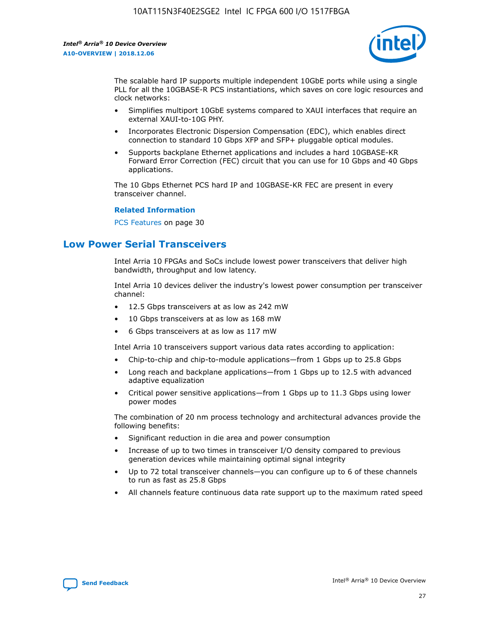

The scalable hard IP supports multiple independent 10GbE ports while using a single PLL for all the 10GBASE-R PCS instantiations, which saves on core logic resources and clock networks:

- Simplifies multiport 10GbE systems compared to XAUI interfaces that require an external XAUI-to-10G PHY.
- Incorporates Electronic Dispersion Compensation (EDC), which enables direct connection to standard 10 Gbps XFP and SFP+ pluggable optical modules.
- Supports backplane Ethernet applications and includes a hard 10GBASE-KR Forward Error Correction (FEC) circuit that you can use for 10 Gbps and 40 Gbps applications.

The 10 Gbps Ethernet PCS hard IP and 10GBASE-KR FEC are present in every transceiver channel.

#### **Related Information**

PCS Features on page 30

# **Low Power Serial Transceivers**

Intel Arria 10 FPGAs and SoCs include lowest power transceivers that deliver high bandwidth, throughput and low latency.

Intel Arria 10 devices deliver the industry's lowest power consumption per transceiver channel:

- 12.5 Gbps transceivers at as low as 242 mW
- 10 Gbps transceivers at as low as 168 mW
- 6 Gbps transceivers at as low as 117 mW

Intel Arria 10 transceivers support various data rates according to application:

- Chip-to-chip and chip-to-module applications—from 1 Gbps up to 25.8 Gbps
- Long reach and backplane applications—from 1 Gbps up to 12.5 with advanced adaptive equalization
- Critical power sensitive applications—from 1 Gbps up to 11.3 Gbps using lower power modes

The combination of 20 nm process technology and architectural advances provide the following benefits:

- Significant reduction in die area and power consumption
- Increase of up to two times in transceiver I/O density compared to previous generation devices while maintaining optimal signal integrity
- Up to 72 total transceiver channels—you can configure up to 6 of these channels to run as fast as 25.8 Gbps
- All channels feature continuous data rate support up to the maximum rated speed

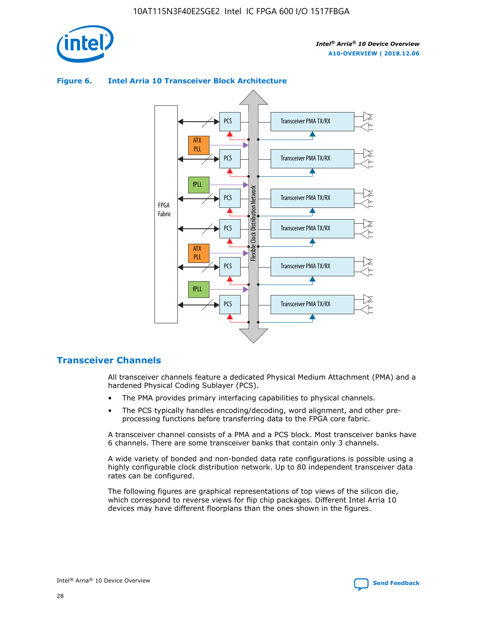

## Transceiver PMA TX/RX PCS ATX PLL Transceiver PMA TX/RX PCS fPLL Network Flexible Clock Distribution Network PCS Transceiver PMA TX/RX FPGA **Clock Distribution** Fabric PCS Transceiver PMA TX/RX ATX Flexible PLL PCS Transceiver PMA TX/RX ▲ fPLL Transceiver PMA TX/RX PCS 4

## **Figure 6. Intel Arria 10 Transceiver Block Architecture**

# **Transceiver Channels**

All transceiver channels feature a dedicated Physical Medium Attachment (PMA) and a hardened Physical Coding Sublayer (PCS).

- The PMA provides primary interfacing capabilities to physical channels.
- The PCS typically handles encoding/decoding, word alignment, and other preprocessing functions before transferring data to the FPGA core fabric.

A transceiver channel consists of a PMA and a PCS block. Most transceiver banks have 6 channels. There are some transceiver banks that contain only 3 channels.

A wide variety of bonded and non-bonded data rate configurations is possible using a highly configurable clock distribution network. Up to 80 independent transceiver data rates can be configured.

The following figures are graphical representations of top views of the silicon die, which correspond to reverse views for flip chip packages. Different Intel Arria 10 devices may have different floorplans than the ones shown in the figures.

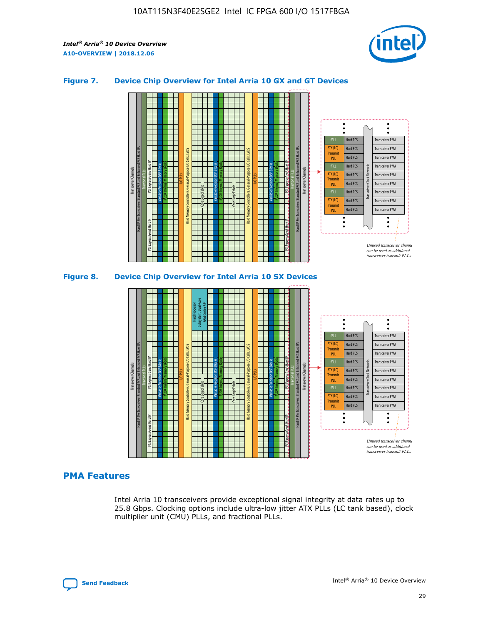

## **Figure 7. Device Chip Overview for Intel Arria 10 GX and GT Devices**



## **PMA Features**

Intel Arria 10 transceivers provide exceptional signal integrity at data rates up to 25.8 Gbps. Clocking options include ultra-low jitter ATX PLLs (LC tank based), clock multiplier unit (CMU) PLLs, and fractional PLLs.

Hard PCS Hard PCS Hard PCS Hard PCS Hard PCS

ATX (LC) Transmi PLL fPLL ATX (LC) **Transmit** PLL

Transceiver PMA Transceiver PMA Transceiver PMA

Transceiver Clock Networks

Transceiver PMA Transceiver PMA

Unused transceiver chann can be used as additional transceiver transmit PLLs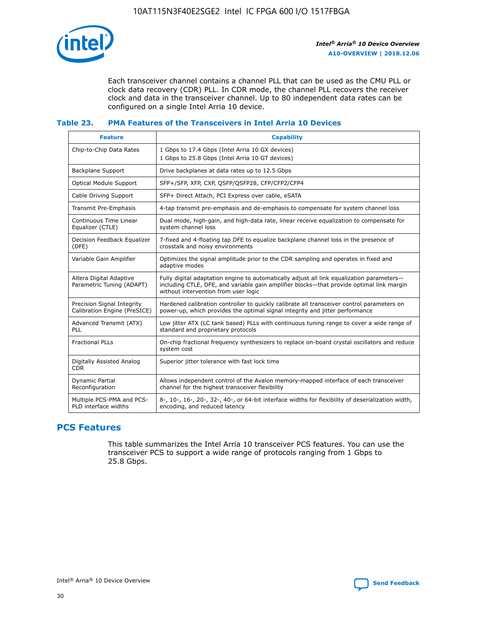

Each transceiver channel contains a channel PLL that can be used as the CMU PLL or clock data recovery (CDR) PLL. In CDR mode, the channel PLL recovers the receiver clock and data in the transceiver channel. Up to 80 independent data rates can be configured on a single Intel Arria 10 device.

## **Table 23. PMA Features of the Transceivers in Intel Arria 10 Devices**

| <b>Feature</b>                                             | <b>Capability</b>                                                                                                                                                                                                             |
|------------------------------------------------------------|-------------------------------------------------------------------------------------------------------------------------------------------------------------------------------------------------------------------------------|
| Chip-to-Chip Data Rates                                    | 1 Gbps to 17.4 Gbps (Intel Arria 10 GX devices)<br>1 Gbps to 25.8 Gbps (Intel Arria 10 GT devices)                                                                                                                            |
| <b>Backplane Support</b>                                   | Drive backplanes at data rates up to 12.5 Gbps                                                                                                                                                                                |
| <b>Optical Module Support</b>                              | SFP+/SFP, XFP, CXP, QSFP/QSFP28, CFP/CFP2/CFP4                                                                                                                                                                                |
| Cable Driving Support                                      | SFP+ Direct Attach, PCI Express over cable, eSATA                                                                                                                                                                             |
| Transmit Pre-Emphasis                                      | 4-tap transmit pre-emphasis and de-emphasis to compensate for system channel loss                                                                                                                                             |
| Continuous Time Linear<br>Equalizer (CTLE)                 | Dual mode, high-gain, and high-data rate, linear receive equalization to compensate for<br>system channel loss                                                                                                                |
| Decision Feedback Equalizer<br>(DFE)                       | 7-fixed and 4-floating tap DFE to equalize backplane channel loss in the presence of<br>crosstalk and noisy environments                                                                                                      |
| Variable Gain Amplifier                                    | Optimizes the signal amplitude prior to the CDR sampling and operates in fixed and<br>adaptive modes                                                                                                                          |
| Altera Digital Adaptive<br>Parametric Tuning (ADAPT)       | Fully digital adaptation engine to automatically adjust all link equalization parameters-<br>including CTLE, DFE, and variable gain amplifier blocks—that provide optimal link margin<br>without intervention from user logic |
| Precision Signal Integrity<br>Calibration Engine (PreSICE) | Hardened calibration controller to quickly calibrate all transceiver control parameters on<br>power-up, which provides the optimal signal integrity and jitter performance                                                    |
| Advanced Transmit (ATX)<br>PLL                             | Low jitter ATX (LC tank based) PLLs with continuous tuning range to cover a wide range of<br>standard and proprietary protocols                                                                                               |
| <b>Fractional PLLs</b>                                     | On-chip fractional frequency synthesizers to replace on-board crystal oscillators and reduce<br>system cost                                                                                                                   |
| Digitally Assisted Analog<br><b>CDR</b>                    | Superior jitter tolerance with fast lock time                                                                                                                                                                                 |
| Dynamic Partial<br>Reconfiguration                         | Allows independent control of the Avalon memory-mapped interface of each transceiver<br>channel for the highest transceiver flexibility                                                                                       |
| Multiple PCS-PMA and PCS-<br>PLD interface widths          | 8-, 10-, 16-, 20-, 32-, 40-, or 64-bit interface widths for flexibility of deserialization width,<br>encoding, and reduced latency                                                                                            |

# **PCS Features**

This table summarizes the Intel Arria 10 transceiver PCS features. You can use the transceiver PCS to support a wide range of protocols ranging from 1 Gbps to 25.8 Gbps.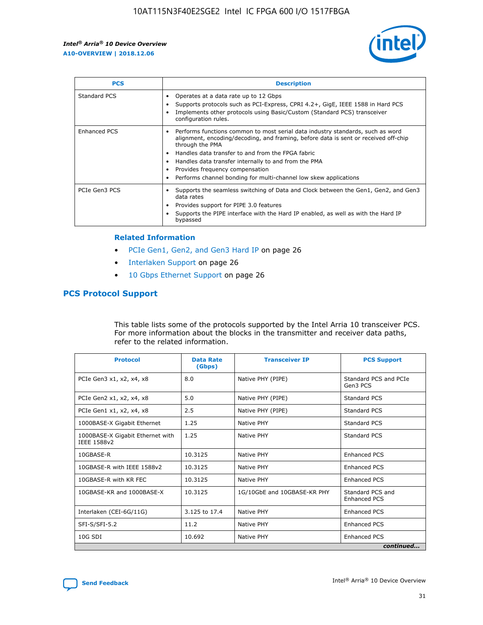

| <b>PCS</b>    | <b>Description</b>                                                                                                                                                                                                                                                                                                                                                                                             |
|---------------|----------------------------------------------------------------------------------------------------------------------------------------------------------------------------------------------------------------------------------------------------------------------------------------------------------------------------------------------------------------------------------------------------------------|
| Standard PCS  | Operates at a data rate up to 12 Gbps<br>Supports protocols such as PCI-Express, CPRI 4.2+, GigE, IEEE 1588 in Hard PCS<br>Implements other protocols using Basic/Custom (Standard PCS) transceiver<br>configuration rules.                                                                                                                                                                                    |
| Enhanced PCS  | Performs functions common to most serial data industry standards, such as word<br>alignment, encoding/decoding, and framing, before data is sent or received off-chip<br>through the PMA<br>• Handles data transfer to and from the FPGA fabric<br>Handles data transfer internally to and from the PMA<br>Provides frequency compensation<br>Performs channel bonding for multi-channel low skew applications |
| PCIe Gen3 PCS | Supports the seamless switching of Data and Clock between the Gen1, Gen2, and Gen3<br>data rates<br>Provides support for PIPE 3.0 features<br>Supports the PIPE interface with the Hard IP enabled, as well as with the Hard IP<br>bypassed                                                                                                                                                                    |

#### **Related Information**

- PCIe Gen1, Gen2, and Gen3 Hard IP on page 26
- Interlaken Support on page 26
- 10 Gbps Ethernet Support on page 26

# **PCS Protocol Support**

This table lists some of the protocols supported by the Intel Arria 10 transceiver PCS. For more information about the blocks in the transmitter and receiver data paths, refer to the related information.

| <b>Protocol</b>                                 | <b>Data Rate</b><br>(Gbps) | <b>Transceiver IP</b>       | <b>PCS Support</b>                      |
|-------------------------------------------------|----------------------------|-----------------------------|-----------------------------------------|
| PCIe Gen3 x1, x2, x4, x8                        | 8.0                        | Native PHY (PIPE)           | Standard PCS and PCIe<br>Gen3 PCS       |
| PCIe Gen2 x1, x2, x4, x8                        | 5.0                        | Native PHY (PIPE)           | <b>Standard PCS</b>                     |
| PCIe Gen1 x1, x2, x4, x8                        | 2.5                        | Native PHY (PIPE)           | Standard PCS                            |
| 1000BASE-X Gigabit Ethernet                     | 1.25                       | Native PHY                  | <b>Standard PCS</b>                     |
| 1000BASE-X Gigabit Ethernet with<br>IEEE 1588v2 | 1.25                       | Native PHY                  | Standard PCS                            |
| 10GBASE-R                                       | 10.3125                    | Native PHY                  | <b>Enhanced PCS</b>                     |
| 10GBASE-R with IEEE 1588v2                      | 10.3125                    | Native PHY                  | <b>Enhanced PCS</b>                     |
| 10GBASE-R with KR FEC                           | 10.3125                    | Native PHY                  | <b>Enhanced PCS</b>                     |
| 10GBASE-KR and 1000BASE-X                       | 10.3125                    | 1G/10GbE and 10GBASE-KR PHY | Standard PCS and<br><b>Enhanced PCS</b> |
| Interlaken (CEI-6G/11G)                         | 3.125 to 17.4              | Native PHY                  | <b>Enhanced PCS</b>                     |
| SFI-S/SFI-5.2                                   | 11.2                       | Native PHY                  | <b>Enhanced PCS</b>                     |
| $10G$ SDI                                       | 10.692                     | Native PHY                  | <b>Enhanced PCS</b>                     |
|                                                 |                            |                             | continued                               |

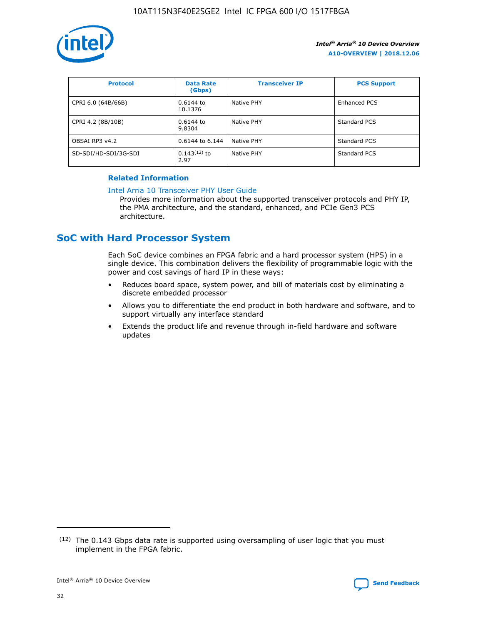

| <b>Protocol</b>      | <b>Data Rate</b><br>(Gbps) | <b>Transceiver IP</b> | <b>PCS Support</b> |
|----------------------|----------------------------|-----------------------|--------------------|
| CPRI 6.0 (64B/66B)   | 0.6144 to<br>10.1376       | Native PHY            | Enhanced PCS       |
| CPRI 4.2 (8B/10B)    | 0.6144 to<br>9.8304        | Native PHY            | Standard PCS       |
| OBSAI RP3 v4.2       | 0.6144 to 6.144            | Native PHY            | Standard PCS       |
| SD-SDI/HD-SDI/3G-SDI | $0.143(12)$ to<br>2.97     | Native PHY            | Standard PCS       |

# **Related Information**

#### [Intel Arria 10 Transceiver PHY User Guide](https://www.intel.com/content/www/us/en/programmable/documentation/nik1398707230472.html#nik1398707091164)

Provides more information about the supported transceiver protocols and PHY IP, the PMA architecture, and the standard, enhanced, and PCIe Gen3 PCS architecture.

# **SoC with Hard Processor System**

Each SoC device combines an FPGA fabric and a hard processor system (HPS) in a single device. This combination delivers the flexibility of programmable logic with the power and cost savings of hard IP in these ways:

- Reduces board space, system power, and bill of materials cost by eliminating a discrete embedded processor
- Allows you to differentiate the end product in both hardware and software, and to support virtually any interface standard
- Extends the product life and revenue through in-field hardware and software updates

<sup>(12)</sup> The 0.143 Gbps data rate is supported using oversampling of user logic that you must implement in the FPGA fabric.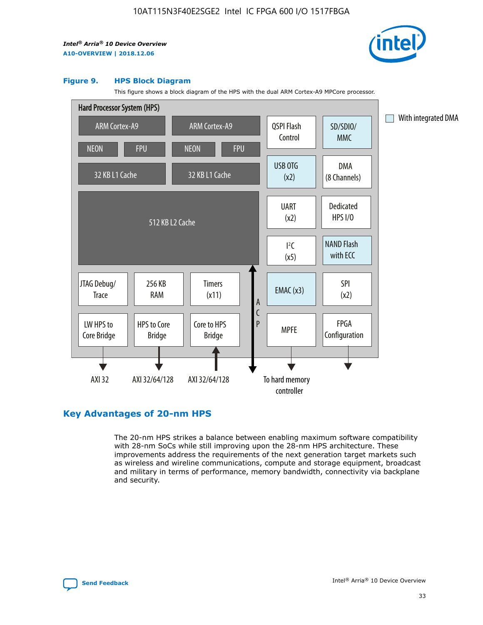

#### **Figure 9. HPS Block Diagram**

This figure shows a block diagram of the HPS with the dual ARM Cortex-A9 MPCore processor.



# **Key Advantages of 20-nm HPS**

The 20-nm HPS strikes a balance between enabling maximum software compatibility with 28-nm SoCs while still improving upon the 28-nm HPS architecture. These improvements address the requirements of the next generation target markets such as wireless and wireline communications, compute and storage equipment, broadcast and military in terms of performance, memory bandwidth, connectivity via backplane and security.

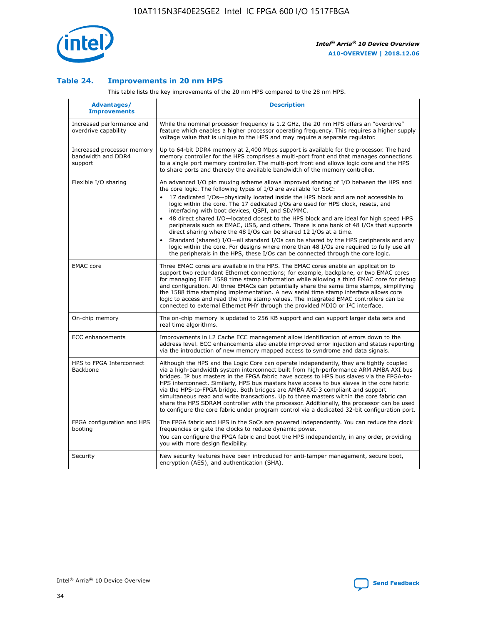

## **Table 24. Improvements in 20 nm HPS**

This table lists the key improvements of the 20 nm HPS compared to the 28 nm HPS.

| Advantages/<br><b>Improvements</b>                          | <b>Description</b>                                                                                                                                                                                                                                                                                                                                                                                                                                                                                                                                                                                                                                                                                                                                                                                                                                                                                                                   |
|-------------------------------------------------------------|--------------------------------------------------------------------------------------------------------------------------------------------------------------------------------------------------------------------------------------------------------------------------------------------------------------------------------------------------------------------------------------------------------------------------------------------------------------------------------------------------------------------------------------------------------------------------------------------------------------------------------------------------------------------------------------------------------------------------------------------------------------------------------------------------------------------------------------------------------------------------------------------------------------------------------------|
| Increased performance and<br>overdrive capability           | While the nominal processor frequency is 1.2 GHz, the 20 nm HPS offers an "overdrive"<br>feature which enables a higher processor operating frequency. This requires a higher supply<br>voltage value that is unique to the HPS and may require a separate regulator.                                                                                                                                                                                                                                                                                                                                                                                                                                                                                                                                                                                                                                                                |
| Increased processor memory<br>bandwidth and DDR4<br>support | Up to 64-bit DDR4 memory at 2,400 Mbps support is available for the processor. The hard<br>memory controller for the HPS comprises a multi-port front end that manages connections<br>to a single port memory controller. The multi-port front end allows logic core and the HPS<br>to share ports and thereby the available bandwidth of the memory controller.                                                                                                                                                                                                                                                                                                                                                                                                                                                                                                                                                                     |
| Flexible I/O sharing                                        | An advanced I/O pin muxing scheme allows improved sharing of I/O between the HPS and<br>the core logic. The following types of I/O are available for SoC:<br>17 dedicated I/Os-physically located inside the HPS block and are not accessible to<br>logic within the core. The 17 dedicated I/Os are used for HPS clock, resets, and<br>interfacing with boot devices, QSPI, and SD/MMC.<br>48 direct shared I/O-located closest to the HPS block and are ideal for high speed HPS<br>$\bullet$<br>peripherals such as EMAC, USB, and others. There is one bank of 48 I/Os that supports<br>direct sharing where the 48 I/Os can be shared 12 I/Os at a time.<br>Standard (shared) I/O-all standard I/Os can be shared by the HPS peripherals and any<br>logic within the core. For designs where more than 48 I/Os are reguired to fully use all<br>the peripherals in the HPS, these I/Os can be connected through the core logic. |
| <b>EMAC</b> core                                            | Three EMAC cores are available in the HPS. The EMAC cores enable an application to<br>support two redundant Ethernet connections; for example, backplane, or two EMAC cores<br>for managing IEEE 1588 time stamp information while allowing a third EMAC core for debug<br>and configuration. All three EMACs can potentially share the same time stamps, simplifying<br>the 1588 time stamping implementation. A new serial time stamp interface allows core<br>logic to access and read the time stamp values. The integrated EMAC controllers can be<br>connected to external Ethernet PHY through the provided MDIO or I <sup>2</sup> C interface.                                                                                                                                                                                                                                                                               |
| On-chip memory                                              | The on-chip memory is updated to 256 KB support and can support larger data sets and<br>real time algorithms.                                                                                                                                                                                                                                                                                                                                                                                                                                                                                                                                                                                                                                                                                                                                                                                                                        |
| <b>ECC</b> enhancements                                     | Improvements in L2 Cache ECC management allow identification of errors down to the<br>address level. ECC enhancements also enable improved error injection and status reporting<br>via the introduction of new memory mapped access to syndrome and data signals.                                                                                                                                                                                                                                                                                                                                                                                                                                                                                                                                                                                                                                                                    |
| HPS to FPGA Interconnect<br>Backbone                        | Although the HPS and the Logic Core can operate independently, they are tightly coupled<br>via a high-bandwidth system interconnect built from high-performance ARM AMBA AXI bus<br>bridges. IP bus masters in the FPGA fabric have access to HPS bus slaves via the FPGA-to-<br>HPS interconnect. Similarly, HPS bus masters have access to bus slaves in the core fabric<br>via the HPS-to-FPGA bridge. Both bridges are AMBA AXI-3 compliant and support<br>simultaneous read and write transactions. Up to three masters within the core fabric can<br>share the HPS SDRAM controller with the processor. Additionally, the processor can be used<br>to configure the core fabric under program control via a dedicated 32-bit configuration port.                                                                                                                                                                               |
| FPGA configuration and HPS<br>booting                       | The FPGA fabric and HPS in the SoCs are powered independently. You can reduce the clock<br>frequencies or gate the clocks to reduce dynamic power.<br>You can configure the FPGA fabric and boot the HPS independently, in any order, providing<br>you with more design flexibility.                                                                                                                                                                                                                                                                                                                                                                                                                                                                                                                                                                                                                                                 |
| Security                                                    | New security features have been introduced for anti-tamper management, secure boot,<br>encryption (AES), and authentication (SHA).                                                                                                                                                                                                                                                                                                                                                                                                                                                                                                                                                                                                                                                                                                                                                                                                   |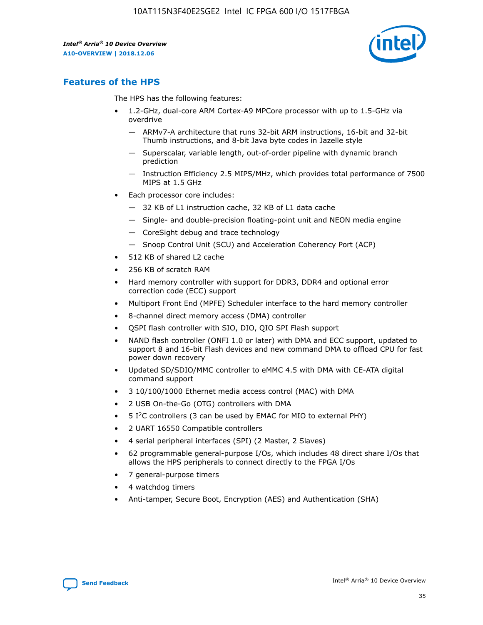

# **Features of the HPS**

The HPS has the following features:

- 1.2-GHz, dual-core ARM Cortex-A9 MPCore processor with up to 1.5-GHz via overdrive
	- ARMv7-A architecture that runs 32-bit ARM instructions, 16-bit and 32-bit Thumb instructions, and 8-bit Java byte codes in Jazelle style
	- Superscalar, variable length, out-of-order pipeline with dynamic branch prediction
	- Instruction Efficiency 2.5 MIPS/MHz, which provides total performance of 7500 MIPS at 1.5 GHz
- Each processor core includes:
	- 32 KB of L1 instruction cache, 32 KB of L1 data cache
	- Single- and double-precision floating-point unit and NEON media engine
	- CoreSight debug and trace technology
	- Snoop Control Unit (SCU) and Acceleration Coherency Port (ACP)
- 512 KB of shared L2 cache
- 256 KB of scratch RAM
- Hard memory controller with support for DDR3, DDR4 and optional error correction code (ECC) support
- Multiport Front End (MPFE) Scheduler interface to the hard memory controller
- 8-channel direct memory access (DMA) controller
- QSPI flash controller with SIO, DIO, QIO SPI Flash support
- NAND flash controller (ONFI 1.0 or later) with DMA and ECC support, updated to support 8 and 16-bit Flash devices and new command DMA to offload CPU for fast power down recovery
- Updated SD/SDIO/MMC controller to eMMC 4.5 with DMA with CE-ATA digital command support
- 3 10/100/1000 Ethernet media access control (MAC) with DMA
- 2 USB On-the-Go (OTG) controllers with DMA
- $\bullet$  5 I<sup>2</sup>C controllers (3 can be used by EMAC for MIO to external PHY)
- 2 UART 16550 Compatible controllers
- 4 serial peripheral interfaces (SPI) (2 Master, 2 Slaves)
- 62 programmable general-purpose I/Os, which includes 48 direct share I/Os that allows the HPS peripherals to connect directly to the FPGA I/Os
- 7 general-purpose timers
- 4 watchdog timers
- Anti-tamper, Secure Boot, Encryption (AES) and Authentication (SHA)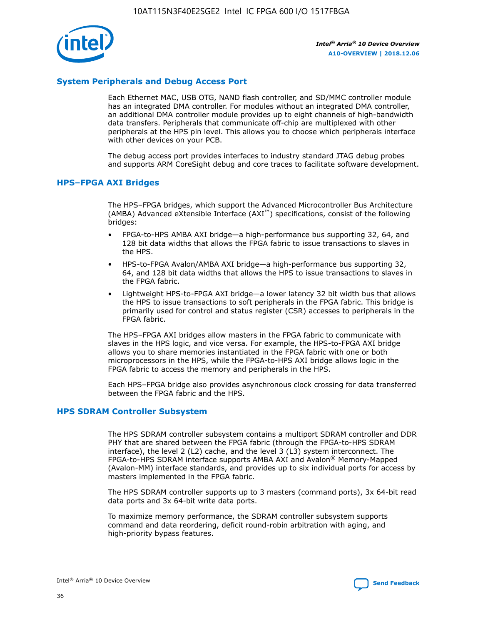

# **System Peripherals and Debug Access Port**

Each Ethernet MAC, USB OTG, NAND flash controller, and SD/MMC controller module has an integrated DMA controller. For modules without an integrated DMA controller, an additional DMA controller module provides up to eight channels of high-bandwidth data transfers. Peripherals that communicate off-chip are multiplexed with other peripherals at the HPS pin level. This allows you to choose which peripherals interface with other devices on your PCB.

The debug access port provides interfaces to industry standard JTAG debug probes and supports ARM CoreSight debug and core traces to facilitate software development.

## **HPS–FPGA AXI Bridges**

The HPS–FPGA bridges, which support the Advanced Microcontroller Bus Architecture (AMBA) Advanced eXtensible Interface (AXI™) specifications, consist of the following bridges:

- FPGA-to-HPS AMBA AXI bridge—a high-performance bus supporting 32, 64, and 128 bit data widths that allows the FPGA fabric to issue transactions to slaves in the HPS.
- HPS-to-FPGA Avalon/AMBA AXI bridge—a high-performance bus supporting 32, 64, and 128 bit data widths that allows the HPS to issue transactions to slaves in the FPGA fabric.
- Lightweight HPS-to-FPGA AXI bridge—a lower latency 32 bit width bus that allows the HPS to issue transactions to soft peripherals in the FPGA fabric. This bridge is primarily used for control and status register (CSR) accesses to peripherals in the FPGA fabric.

The HPS–FPGA AXI bridges allow masters in the FPGA fabric to communicate with slaves in the HPS logic, and vice versa. For example, the HPS-to-FPGA AXI bridge allows you to share memories instantiated in the FPGA fabric with one or both microprocessors in the HPS, while the FPGA-to-HPS AXI bridge allows logic in the FPGA fabric to access the memory and peripherals in the HPS.

Each HPS–FPGA bridge also provides asynchronous clock crossing for data transferred between the FPGA fabric and the HPS.

## **HPS SDRAM Controller Subsystem**

The HPS SDRAM controller subsystem contains a multiport SDRAM controller and DDR PHY that are shared between the FPGA fabric (through the FPGA-to-HPS SDRAM interface), the level 2 (L2) cache, and the level 3 (L3) system interconnect. The FPGA-to-HPS SDRAM interface supports AMBA AXI and Avalon® Memory-Mapped (Avalon-MM) interface standards, and provides up to six individual ports for access by masters implemented in the FPGA fabric.

The HPS SDRAM controller supports up to 3 masters (command ports), 3x 64-bit read data ports and 3x 64-bit write data ports.

To maximize memory performance, the SDRAM controller subsystem supports command and data reordering, deficit round-robin arbitration with aging, and high-priority bypass features.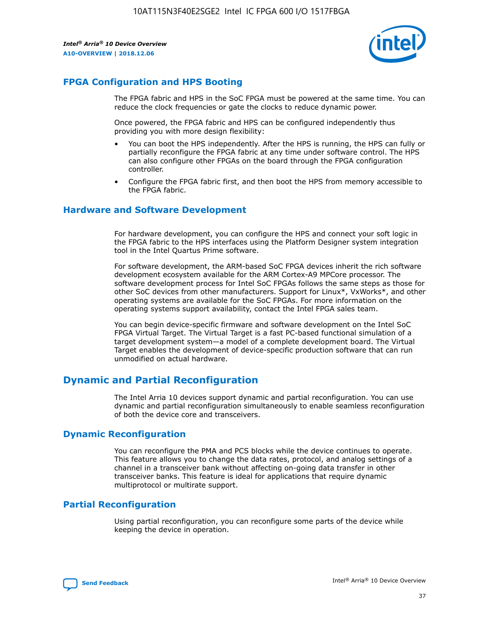

# **FPGA Configuration and HPS Booting**

The FPGA fabric and HPS in the SoC FPGA must be powered at the same time. You can reduce the clock frequencies or gate the clocks to reduce dynamic power.

Once powered, the FPGA fabric and HPS can be configured independently thus providing you with more design flexibility:

- You can boot the HPS independently. After the HPS is running, the HPS can fully or partially reconfigure the FPGA fabric at any time under software control. The HPS can also configure other FPGAs on the board through the FPGA configuration controller.
- Configure the FPGA fabric first, and then boot the HPS from memory accessible to the FPGA fabric.

## **Hardware and Software Development**

For hardware development, you can configure the HPS and connect your soft logic in the FPGA fabric to the HPS interfaces using the Platform Designer system integration tool in the Intel Quartus Prime software.

For software development, the ARM-based SoC FPGA devices inherit the rich software development ecosystem available for the ARM Cortex-A9 MPCore processor. The software development process for Intel SoC FPGAs follows the same steps as those for other SoC devices from other manufacturers. Support for Linux\*, VxWorks\*, and other operating systems are available for the SoC FPGAs. For more information on the operating systems support availability, contact the Intel FPGA sales team.

You can begin device-specific firmware and software development on the Intel SoC FPGA Virtual Target. The Virtual Target is a fast PC-based functional simulation of a target development system—a model of a complete development board. The Virtual Target enables the development of device-specific production software that can run unmodified on actual hardware.

# **Dynamic and Partial Reconfiguration**

The Intel Arria 10 devices support dynamic and partial reconfiguration. You can use dynamic and partial reconfiguration simultaneously to enable seamless reconfiguration of both the device core and transceivers.

# **Dynamic Reconfiguration**

You can reconfigure the PMA and PCS blocks while the device continues to operate. This feature allows you to change the data rates, protocol, and analog settings of a channel in a transceiver bank without affecting on-going data transfer in other transceiver banks. This feature is ideal for applications that require dynamic multiprotocol or multirate support.

# **Partial Reconfiguration**

Using partial reconfiguration, you can reconfigure some parts of the device while keeping the device in operation.

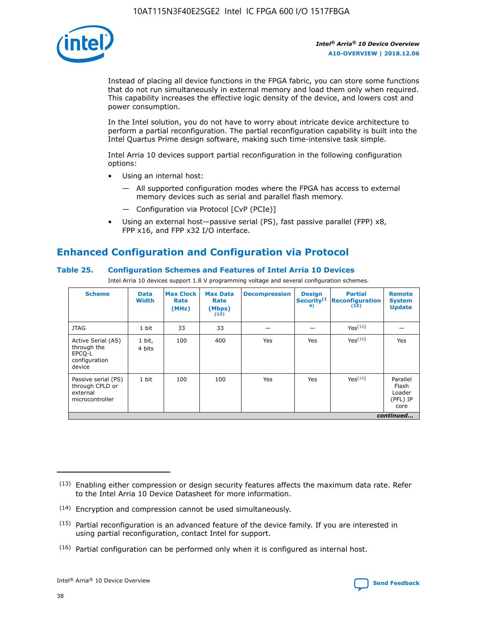

Instead of placing all device functions in the FPGA fabric, you can store some functions that do not run simultaneously in external memory and load them only when required. This capability increases the effective logic density of the device, and lowers cost and power consumption.

In the Intel solution, you do not have to worry about intricate device architecture to perform a partial reconfiguration. The partial reconfiguration capability is built into the Intel Quartus Prime design software, making such time-intensive task simple.

Intel Arria 10 devices support partial reconfiguration in the following configuration options:

- Using an internal host:
	- All supported configuration modes where the FPGA has access to external memory devices such as serial and parallel flash memory.
	- Configuration via Protocol [CvP (PCIe)]
- Using an external host—passive serial (PS), fast passive parallel (FPP) x8, FPP x16, and FPP x32 I/O interface.

# **Enhanced Configuration and Configuration via Protocol**

# **Table 25. Configuration Schemes and Features of Intel Arria 10 Devices**

Intel Arria 10 devices support 1.8 V programming voltage and several configuration schemes.

| <b>Scheme</b>                                                          | <b>Data</b><br><b>Width</b> | <b>Max Clock</b><br>Rate<br>(MHz) | <b>Max Data</b><br>Rate<br>(Mbps)<br>(13) | <b>Decompression</b> | <b>Design</b><br>Security <sup>(1</sup><br>4) | <b>Partial</b><br><b>Reconfiguration</b><br>(15) | <b>Remote</b><br><b>System</b><br><b>Update</b> |
|------------------------------------------------------------------------|-----------------------------|-----------------------------------|-------------------------------------------|----------------------|-----------------------------------------------|--------------------------------------------------|-------------------------------------------------|
| <b>JTAG</b>                                                            | 1 bit                       | 33                                | 33                                        |                      |                                               | Yes(16)                                          |                                                 |
| Active Serial (AS)<br>through the<br>EPCO-L<br>configuration<br>device | 1 bit,<br>4 bits            | 100                               | 400                                       | Yes                  | Yes                                           | Yes(16)                                          | Yes                                             |
| Passive serial (PS)<br>through CPLD or<br>external<br>microcontroller  | 1 bit                       | 100                               | 100                                       | Yes                  | Yes                                           | Yes <sup>(16)</sup>                              | Parallel<br>Flash<br>Loader<br>(PFL) IP<br>core |
|                                                                        |                             |                                   |                                           |                      |                                               |                                                  | continued                                       |

<sup>(13)</sup> Enabling either compression or design security features affects the maximum data rate. Refer to the Intel Arria 10 Device Datasheet for more information.

<sup>(14)</sup> Encryption and compression cannot be used simultaneously.

 $(15)$  Partial reconfiguration is an advanced feature of the device family. If you are interested in using partial reconfiguration, contact Intel for support.

 $(16)$  Partial configuration can be performed only when it is configured as internal host.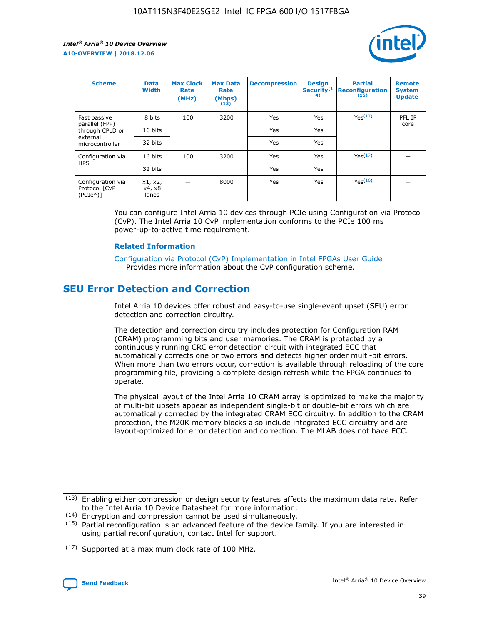

| <b>Scheme</b>                                   | <b>Data</b><br><b>Width</b> | <b>Max Clock</b><br>Rate<br>(MHz) | <b>Max Data</b><br>Rate<br>(Mbps)<br>(13) | <b>Decompression</b> | <b>Design</b><br>Security <sup>(1</sup><br>4) | <b>Partial</b><br><b>Reconfiguration</b><br>(15) | <b>Remote</b><br><b>System</b><br><b>Update</b> |
|-------------------------------------------------|-----------------------------|-----------------------------------|-------------------------------------------|----------------------|-----------------------------------------------|--------------------------------------------------|-------------------------------------------------|
| Fast passive                                    | 8 bits                      | 100                               | 3200                                      | <b>Yes</b>           | Yes                                           | Yes(17)                                          | PFL IP                                          |
| parallel (FPP)<br>through CPLD or               | 16 bits                     |                                   |                                           | Yes                  | Yes                                           |                                                  | core                                            |
| external<br>microcontroller                     | 32 bits                     |                                   |                                           | Yes                  | Yes                                           |                                                  |                                                 |
| Configuration via                               | 16 bits                     | 100                               | 3200                                      | Yes                  | Yes                                           | Yes <sup>(17)</sup>                              |                                                 |
| <b>HPS</b>                                      | 32 bits                     |                                   |                                           | Yes                  | Yes                                           |                                                  |                                                 |
| Configuration via<br>Protocol [CvP<br>$(PCIe*)$ | x1, x2,<br>x4, x8<br>lanes  |                                   | 8000                                      | Yes                  | Yes                                           | Yes <sup>(16)</sup>                              |                                                 |

You can configure Intel Arria 10 devices through PCIe using Configuration via Protocol (CvP). The Intel Arria 10 CvP implementation conforms to the PCIe 100 ms power-up-to-active time requirement.

#### **Related Information**

[Configuration via Protocol \(CvP\) Implementation in Intel FPGAs User Guide](https://www.intel.com/content/www/us/en/programmable/documentation/dsu1441819344145.html#dsu1442269728522) Provides more information about the CvP configuration scheme.

# **SEU Error Detection and Correction**

Intel Arria 10 devices offer robust and easy-to-use single-event upset (SEU) error detection and correction circuitry.

The detection and correction circuitry includes protection for Configuration RAM (CRAM) programming bits and user memories. The CRAM is protected by a continuously running CRC error detection circuit with integrated ECC that automatically corrects one or two errors and detects higher order multi-bit errors. When more than two errors occur, correction is available through reloading of the core programming file, providing a complete design refresh while the FPGA continues to operate.

The physical layout of the Intel Arria 10 CRAM array is optimized to make the majority of multi-bit upsets appear as independent single-bit or double-bit errors which are automatically corrected by the integrated CRAM ECC circuitry. In addition to the CRAM protection, the M20K memory blocks also include integrated ECC circuitry and are layout-optimized for error detection and correction. The MLAB does not have ECC.

(14) Encryption and compression cannot be used simultaneously.

<sup>(17)</sup> Supported at a maximum clock rate of 100 MHz.



 $(13)$  Enabling either compression or design security features affects the maximum data rate. Refer to the Intel Arria 10 Device Datasheet for more information.

 $(15)$  Partial reconfiguration is an advanced feature of the device family. If you are interested in using partial reconfiguration, contact Intel for support.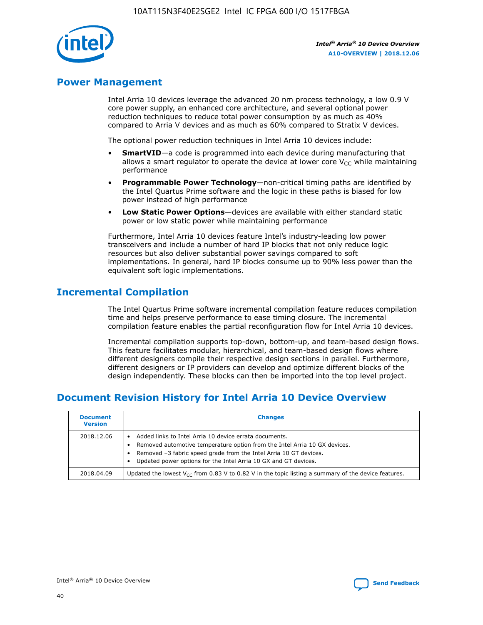

# **Power Management**

Intel Arria 10 devices leverage the advanced 20 nm process technology, a low 0.9 V core power supply, an enhanced core architecture, and several optional power reduction techniques to reduce total power consumption by as much as 40% compared to Arria V devices and as much as 60% compared to Stratix V devices.

The optional power reduction techniques in Intel Arria 10 devices include:

- **SmartVID**—a code is programmed into each device during manufacturing that allows a smart regulator to operate the device at lower core  $V_{CC}$  while maintaining performance
- **Programmable Power Technology**—non-critical timing paths are identified by the Intel Quartus Prime software and the logic in these paths is biased for low power instead of high performance
- **Low Static Power Options**—devices are available with either standard static power or low static power while maintaining performance

Furthermore, Intel Arria 10 devices feature Intel's industry-leading low power transceivers and include a number of hard IP blocks that not only reduce logic resources but also deliver substantial power savings compared to soft implementations. In general, hard IP blocks consume up to 90% less power than the equivalent soft logic implementations.

# **Incremental Compilation**

The Intel Quartus Prime software incremental compilation feature reduces compilation time and helps preserve performance to ease timing closure. The incremental compilation feature enables the partial reconfiguration flow for Intel Arria 10 devices.

Incremental compilation supports top-down, bottom-up, and team-based design flows. This feature facilitates modular, hierarchical, and team-based design flows where different designers compile their respective design sections in parallel. Furthermore, different designers or IP providers can develop and optimize different blocks of the design independently. These blocks can then be imported into the top level project.

# **Document Revision History for Intel Arria 10 Device Overview**

| <b>Document</b><br><b>Version</b> | <b>Changes</b>                                                                                                                                                                                                                                                              |
|-----------------------------------|-----------------------------------------------------------------------------------------------------------------------------------------------------------------------------------------------------------------------------------------------------------------------------|
| 2018.12.06                        | Added links to Intel Arria 10 device errata documents.<br>Removed automotive temperature option from the Intel Arria 10 GX devices.<br>Removed -3 fabric speed grade from the Intel Arria 10 GT devices.<br>Updated power options for the Intel Arria 10 GX and GT devices. |
| 2018.04.09                        | Updated the lowest $V_{CC}$ from 0.83 V to 0.82 V in the topic listing a summary of the device features.                                                                                                                                                                    |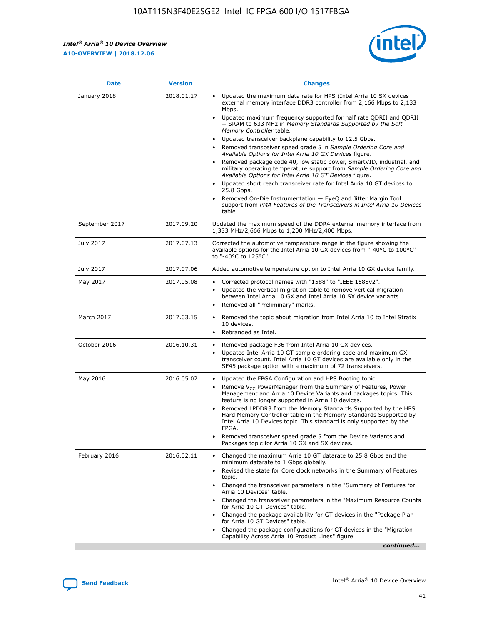*Intel® Arria® 10 Device Overview* **A10-OVERVIEW | 2018.12.06**



| <b>Date</b>    | <b>Version</b> | <b>Changes</b>                                                                                                                                                                                                                                                                                                                                                                                                                                                                                                                                                                                                                                                                                                                                                                                                                                                                                                                                                            |
|----------------|----------------|---------------------------------------------------------------------------------------------------------------------------------------------------------------------------------------------------------------------------------------------------------------------------------------------------------------------------------------------------------------------------------------------------------------------------------------------------------------------------------------------------------------------------------------------------------------------------------------------------------------------------------------------------------------------------------------------------------------------------------------------------------------------------------------------------------------------------------------------------------------------------------------------------------------------------------------------------------------------------|
| January 2018   | 2018.01.17     | Updated the maximum data rate for HPS (Intel Arria 10 SX devices<br>external memory interface DDR3 controller from 2,166 Mbps to 2,133<br>Mbps.<br>Updated maximum frequency supported for half rate QDRII and QDRII<br>+ SRAM to 633 MHz in Memory Standards Supported by the Soft<br>Memory Controller table.<br>Updated transceiver backplane capability to 12.5 Gbps.<br>$\bullet$<br>Removed transceiver speed grade 5 in Sample Ordering Core and<br>Available Options for Intel Arria 10 GX Devices figure.<br>Removed package code 40, low static power, SmartVID, industrial, and<br>military operating temperature support from Sample Ordering Core and<br>Available Options for Intel Arria 10 GT Devices figure.<br>Updated short reach transceiver rate for Intel Arria 10 GT devices to<br>25.8 Gbps.<br>Removed On-Die Instrumentation - EyeQ and Jitter Margin Tool<br>support from PMA Features of the Transceivers in Intel Arria 10 Devices<br>table. |
| September 2017 | 2017.09.20     | Updated the maximum speed of the DDR4 external memory interface from<br>1,333 MHz/2,666 Mbps to 1,200 MHz/2,400 Mbps.                                                                                                                                                                                                                                                                                                                                                                                                                                                                                                                                                                                                                                                                                                                                                                                                                                                     |
| July 2017      | 2017.07.13     | Corrected the automotive temperature range in the figure showing the<br>available options for the Intel Arria 10 GX devices from "-40°C to 100°C"<br>to "-40°C to 125°C".                                                                                                                                                                                                                                                                                                                                                                                                                                                                                                                                                                                                                                                                                                                                                                                                 |
| July 2017      | 2017.07.06     | Added automotive temperature option to Intel Arria 10 GX device family.                                                                                                                                                                                                                                                                                                                                                                                                                                                                                                                                                                                                                                                                                                                                                                                                                                                                                                   |
| May 2017       | 2017.05.08     | Corrected protocol names with "1588" to "IEEE 1588v2".<br>$\bullet$<br>Updated the vertical migration table to remove vertical migration<br>$\bullet$<br>between Intel Arria 10 GX and Intel Arria 10 SX device variants.<br>Removed all "Preliminary" marks.<br>$\bullet$                                                                                                                                                                                                                                                                                                                                                                                                                                                                                                                                                                                                                                                                                                |
| March 2017     | 2017.03.15     | Removed the topic about migration from Intel Arria 10 to Intel Stratix<br>10 devices.<br>Rebranded as Intel.<br>$\bullet$                                                                                                                                                                                                                                                                                                                                                                                                                                                                                                                                                                                                                                                                                                                                                                                                                                                 |
| October 2016   | 2016.10.31     | Removed package F36 from Intel Arria 10 GX devices.<br>Updated Intel Arria 10 GT sample ordering code and maximum GX<br>$\bullet$<br>transceiver count. Intel Arria 10 GT devices are available only in the<br>SF45 package option with a maximum of 72 transceivers.                                                                                                                                                                                                                                                                                                                                                                                                                                                                                                                                                                                                                                                                                                     |
| May 2016       | 2016.05.02     | Updated the FPGA Configuration and HPS Booting topic.<br>$\bullet$<br>Remove V <sub>CC</sub> PowerManager from the Summary of Features, Power<br>Management and Arria 10 Device Variants and packages topics. This<br>feature is no longer supported in Arria 10 devices.<br>Removed LPDDR3 from the Memory Standards Supported by the HPS<br>Hard Memory Controller table in the Memory Standards Supported by<br>Intel Arria 10 Devices topic. This standard is only supported by the<br>FPGA.<br>Removed transceiver speed grade 5 from the Device Variants and<br>Packages topic for Arria 10 GX and SX devices.                                                                                                                                                                                                                                                                                                                                                      |
| February 2016  | 2016.02.11     | Changed the maximum Arria 10 GT datarate to 25.8 Gbps and the<br>minimum datarate to 1 Gbps globally.<br>Revised the state for Core clock networks in the Summary of Features<br>$\bullet$<br>topic.<br>Changed the transceiver parameters in the "Summary of Features for<br>$\bullet$<br>Arria 10 Devices" table.<br>• Changed the transceiver parameters in the "Maximum Resource Counts<br>for Arria 10 GT Devices" table.<br>Changed the package availability for GT devices in the "Package Plan<br>for Arria 10 GT Devices" table.<br>Changed the package configurations for GT devices in the "Migration"<br>Capability Across Arria 10 Product Lines" figure.<br>continued                                                                                                                                                                                                                                                                                       |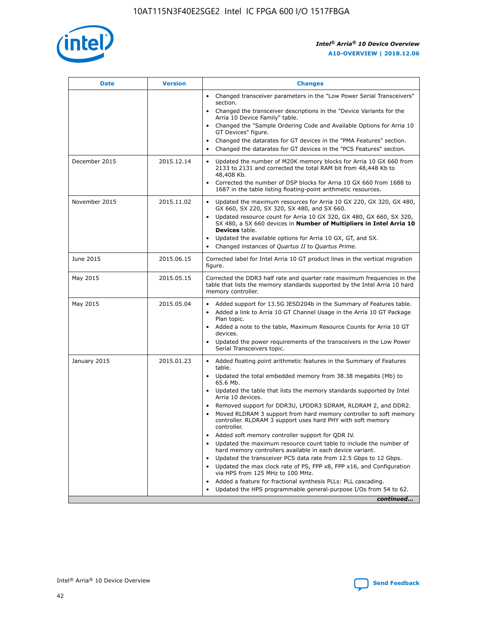

| <b>Date</b>   | <b>Version</b> | <b>Changes</b>                                                                                                                                                               |
|---------------|----------------|------------------------------------------------------------------------------------------------------------------------------------------------------------------------------|
|               |                | • Changed transceiver parameters in the "Low Power Serial Transceivers"<br>section.                                                                                          |
|               |                | • Changed the transceiver descriptions in the "Device Variants for the<br>Arria 10 Device Family" table.                                                                     |
|               |                | Changed the "Sample Ordering Code and Available Options for Arria 10<br>$\bullet$<br>GT Devices" figure.                                                                     |
|               |                | Changed the datarates for GT devices in the "PMA Features" section.                                                                                                          |
|               |                | Changed the datarates for GT devices in the "PCS Features" section.<br>$\bullet$                                                                                             |
| December 2015 | 2015.12.14     | Updated the number of M20K memory blocks for Arria 10 GX 660 from<br>2133 to 2131 and corrected the total RAM bit from 48,448 Kb to<br>48,408 Kb.                            |
|               |                | Corrected the number of DSP blocks for Arria 10 GX 660 from 1688 to<br>1687 in the table listing floating-point arithmetic resources.                                        |
| November 2015 | 2015.11.02     | Updated the maximum resources for Arria 10 GX 220, GX 320, GX 480,<br>$\bullet$<br>GX 660, SX 220, SX 320, SX 480, and SX 660.                                               |
|               |                | • Updated resource count for Arria 10 GX 320, GX 480, GX 660, SX 320,<br>SX 480, a SX 660 devices in Number of Multipliers in Intel Arria 10<br><b>Devices</b> table.        |
|               |                | Updated the available options for Arria 10 GX, GT, and SX.                                                                                                                   |
|               |                | Changed instances of Quartus II to Quartus Prime.<br>$\bullet$                                                                                                               |
| June 2015     | 2015.06.15     | Corrected label for Intel Arria 10 GT product lines in the vertical migration<br>figure.                                                                                     |
| May 2015      | 2015.05.15     | Corrected the DDR3 half rate and quarter rate maximum frequencies in the<br>table that lists the memory standards supported by the Intel Arria 10 hard<br>memory controller. |
| May 2015      | 2015.05.04     | • Added support for 13.5G JESD204b in the Summary of Features table.                                                                                                         |
|               |                | • Added a link to Arria 10 GT Channel Usage in the Arria 10 GT Package<br>Plan topic.                                                                                        |
|               |                | • Added a note to the table, Maximum Resource Counts for Arria 10 GT<br>devices.                                                                                             |
|               |                | • Updated the power requirements of the transceivers in the Low Power<br>Serial Transceivers topic.                                                                          |
| January 2015  | 2015.01.23     | • Added floating point arithmetic features in the Summary of Features<br>table.                                                                                              |
|               |                | • Updated the total embedded memory from 38.38 megabits (Mb) to<br>65.6 Mb.                                                                                                  |
|               |                | • Updated the table that lists the memory standards supported by Intel<br>Arria 10 devices.                                                                                  |
|               |                | Removed support for DDR3U, LPDDR3 SDRAM, RLDRAM 2, and DDR2.                                                                                                                 |
|               |                | Moved RLDRAM 3 support from hard memory controller to soft memory<br>controller. RLDRAM 3 support uses hard PHY with soft memory<br>controller.                              |
|               |                | Added soft memory controller support for QDR IV.<br>٠                                                                                                                        |
|               |                | Updated the maximum resource count table to include the number of<br>hard memory controllers available in each device variant.                                               |
|               |                | Updated the transceiver PCS data rate from 12.5 Gbps to 12 Gbps.<br>$\bullet$                                                                                                |
|               |                | Updated the max clock rate of PS, FPP x8, FPP x16, and Configuration<br>via HPS from 125 MHz to 100 MHz.                                                                     |
|               |                | Added a feature for fractional synthesis PLLs: PLL cascading.                                                                                                                |
|               |                | Updated the HPS programmable general-purpose I/Os from 54 to 62.<br>$\bullet$                                                                                                |
|               |                | continued                                                                                                                                                                    |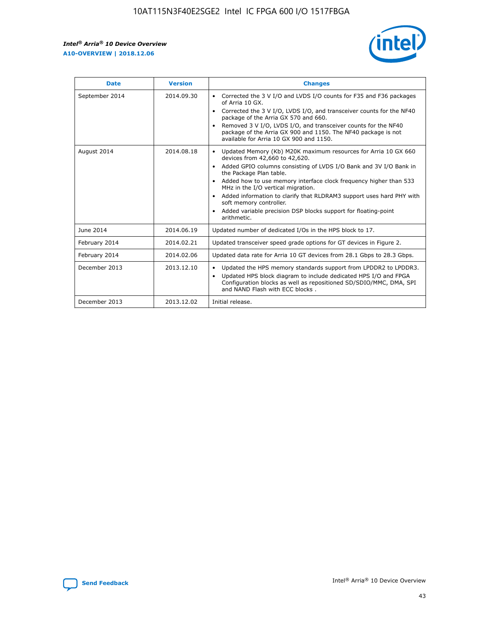r



| <b>Date</b>    | <b>Version</b> | <b>Changes</b>                                                                                                                                                                                                                                                                                                                                                                                                                                                                                                                                      |
|----------------|----------------|-----------------------------------------------------------------------------------------------------------------------------------------------------------------------------------------------------------------------------------------------------------------------------------------------------------------------------------------------------------------------------------------------------------------------------------------------------------------------------------------------------------------------------------------------------|
| September 2014 | 2014.09.30     | Corrected the 3 V I/O and LVDS I/O counts for F35 and F36 packages<br>$\bullet$<br>of Arria 10 GX.<br>Corrected the 3 V I/O, LVDS I/O, and transceiver counts for the NF40<br>$\bullet$<br>package of the Arria GX 570 and 660.<br>Removed 3 V I/O, LVDS I/O, and transceiver counts for the NF40<br>package of the Arria GX 900 and 1150. The NF40 package is not<br>available for Arria 10 GX 900 and 1150.                                                                                                                                       |
| August 2014    | 2014.08.18     | Updated Memory (Kb) M20K maximum resources for Arria 10 GX 660<br>devices from 42,660 to 42,620.<br>Added GPIO columns consisting of LVDS I/O Bank and 3V I/O Bank in<br>$\bullet$<br>the Package Plan table.<br>Added how to use memory interface clock frequency higher than 533<br>$\bullet$<br>MHz in the I/O vertical migration.<br>Added information to clarify that RLDRAM3 support uses hard PHY with<br>$\bullet$<br>soft memory controller.<br>Added variable precision DSP blocks support for floating-point<br>$\bullet$<br>arithmetic. |
| June 2014      | 2014.06.19     | Updated number of dedicated I/Os in the HPS block to 17.                                                                                                                                                                                                                                                                                                                                                                                                                                                                                            |
| February 2014  | 2014.02.21     | Updated transceiver speed grade options for GT devices in Figure 2.                                                                                                                                                                                                                                                                                                                                                                                                                                                                                 |
| February 2014  | 2014.02.06     | Updated data rate for Arria 10 GT devices from 28.1 Gbps to 28.3 Gbps.                                                                                                                                                                                                                                                                                                                                                                                                                                                                              |
| December 2013  | 2013.12.10     | Updated the HPS memory standards support from LPDDR2 to LPDDR3.<br>Updated HPS block diagram to include dedicated HPS I/O and FPGA<br>$\bullet$<br>Configuration blocks as well as repositioned SD/SDIO/MMC, DMA, SPI<br>and NAND Flash with ECC blocks.                                                                                                                                                                                                                                                                                            |
| December 2013  | 2013.12.02     | Initial release.                                                                                                                                                                                                                                                                                                                                                                                                                                                                                                                                    |